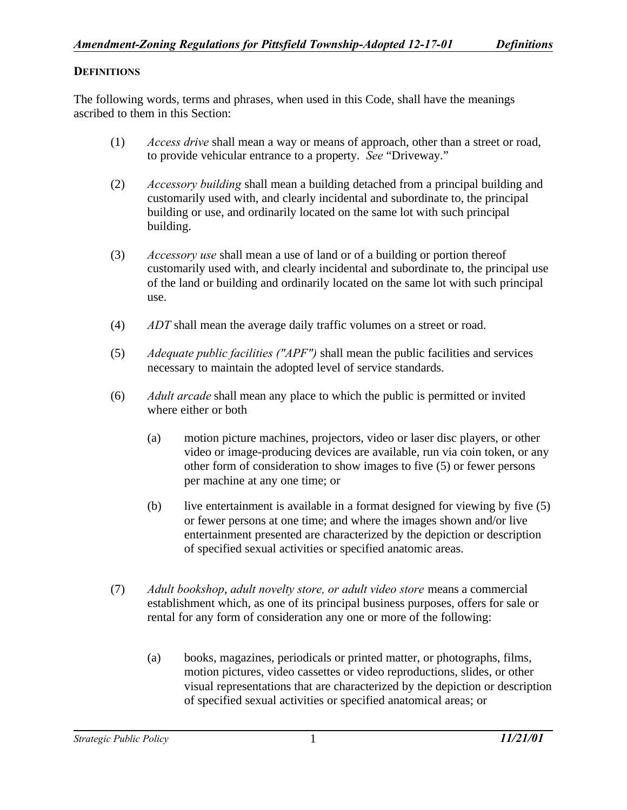## **DEFINITIONS**

The following words, terms and phrases, when used in this Code, shall have the meanings ascribed to them in this Section:

- (1) *Access drive* shall mean a way or means of approach, other than a street or road, to provide vehicular entrance to a property. *See* "Driveway."
- (2) *Accessory building* shall mean a building detached from a principal building and customarily used with, and clearly incidental and subordinate to, the principal building or use, and ordinarily located on the same lot with such principal building.
- (3) *Accessory use* shall mean a use of land or of a building or portion thereof customarily used with, and clearly incidental and subordinate to, the principal use of the land or building and ordinarily located on the same lot with such principal use.
- (4) *ADT* shall mean the average daily traffic volumes on a street or road.
- (5) *Adequate public facilities ("APF")* shall mean the public facilities and services necessary to maintain the adopted level of service standards.
- (6) *Adult arcade* shall mean any place to which the public is permitted or invited where either or both
	- (a) motion picture machines, projectors, video or laser disc players, or other video or image-producing devices are available, run via coin token, or any other form of consideration to show images to five (5) or fewer persons per machine at any one time; or
	- (b) live entertainment is available in a format designed for viewing by five (5) or fewer persons at one time; and where the images shown and/or live entertainment presented are characterized by the depiction or description of specified sexual activities or specified anatomic areas.
- (7) *Adult bookshop*, *adult novelty store, or adult video store* means a commercial establishment which, as one of its principal business purposes, offers for sale or rental for any form of consideration any one or more of the following:
	- (a) books, magazines, periodicals or printed matter, or photographs, films, motion pictures, video cassettes or video reproductions, slides, or other visual representations that are characterized by the depiction or description of specified sexual activities or specified anatomical areas; or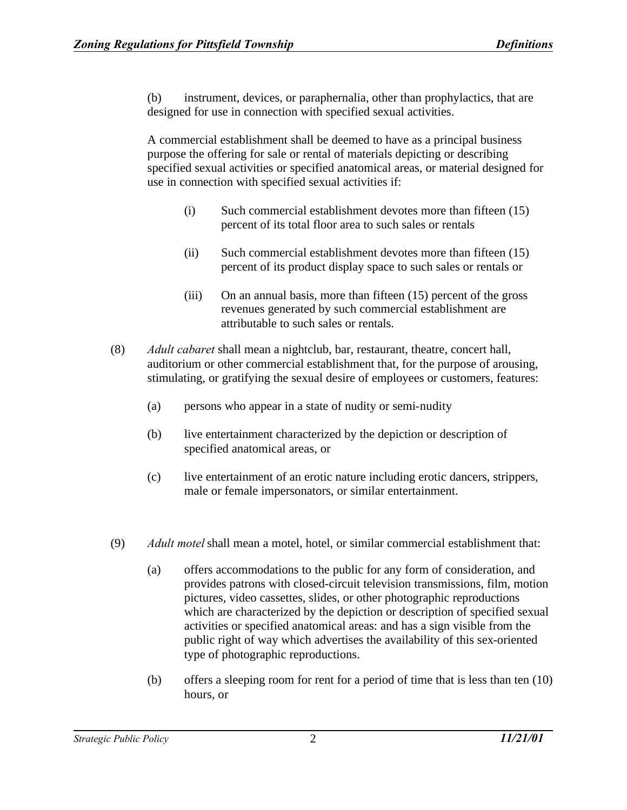(b) instrument, devices, or paraphernalia, other than prophylactics, that are designed for use in connection with specified sexual activities.

A commercial establishment shall be deemed to have as a principal business purpose the offering for sale or rental of materials depicting or describing specified sexual activities or specified anatomical areas, or material designed for use in connection with specified sexual activities if:

- (i) Such commercial establishment devotes more than fifteen (15) percent of its total floor area to such sales or rentals
- (ii) Such commercial establishment devotes more than fifteen (15) percent of its product display space to such sales or rentals or
- (iii) On an annual basis, more than fifteen (15) percent of the gross revenues generated by such commercial establishment are attributable to such sales or rentals.
- (8) *Adult cabaret* shall mean a nightclub, bar, restaurant, theatre, concert hall, auditorium or other commercial establishment that, for the purpose of arousing, stimulating, or gratifying the sexual desire of employees or customers, features:
	- (a) persons who appear in a state of nudity or semi-nudity
	- (b) live entertainment characterized by the depiction or description of specified anatomical areas, or
	- (c) live entertainment of an erotic nature including erotic dancers, strippers, male or female impersonators, or similar entertainment.
- (9) *Adult motel* shall mean a motel, hotel, or similar commercial establishment that:
	- (a) offers accommodations to the public for any form of consideration, and provides patrons with closed-circuit television transmissions, film, motion pictures, video cassettes, slides, or other photographic reproductions which are characterized by the depiction or description of specified sexual activities or specified anatomical areas: and has a sign visible from the public right of way which advertises the availability of this sex-oriented type of photographic reproductions.
	- (b) offers a sleeping room for rent for a period of time that is less than ten (10) hours, or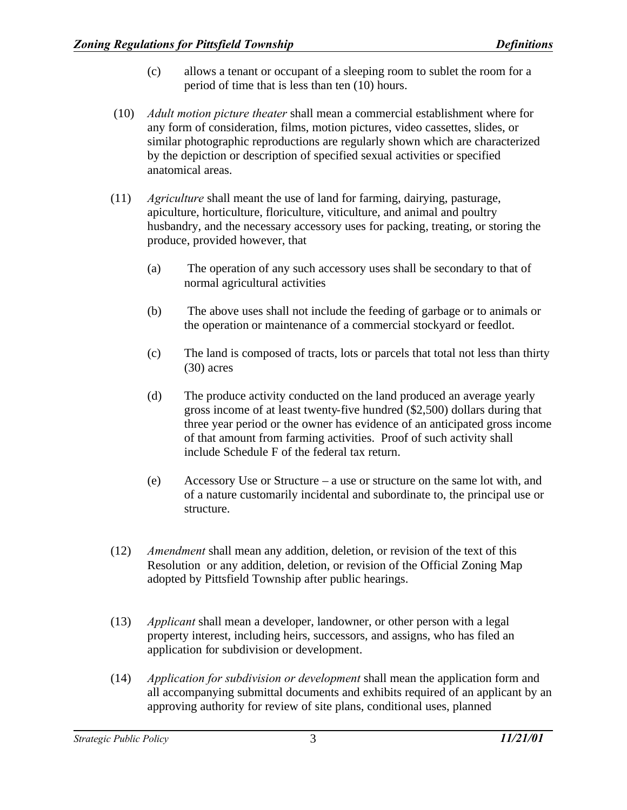- (c) allows a tenant or occupant of a sleeping room to sublet the room for a period of time that is less than ten (10) hours.
- (10) *Adult motion picture theater* shall mean a commercial establishment where for any form of consideration, films, motion pictures, video cassettes, slides, or similar photographic reproductions are regularly shown which are characterized by the depiction or description of specified sexual activities or specified anatomical areas.
- (11) *Agriculture* shall meant the use of land for farming, dairying, pasturage, apiculture, horticulture, floriculture, viticulture, and animal and poultry husbandry, and the necessary accessory uses for packing, treating, or storing the produce, provided however, that
	- (a) The operation of any such accessory uses shall be secondary to that of normal agricultural activities
	- (b) The above uses shall not include the feeding of garbage or to animals or the operation or maintenance of a commercial stockyard or feedlot.
	- (c) The land is composed of tracts, lots or parcels that total not less than thirty (30) acres
	- (d) The produce activity conducted on the land produced an average yearly gross income of at least twenty-five hundred (\$2,500) dollars during that three year period or the owner has evidence of an anticipated gross income of that amount from farming activities. Proof of such activity shall include Schedule F of the federal tax return.
	- (e) Accessory Use or Structure a use or structure on the same lot with, and of a nature customarily incidental and subordinate to, the principal use or structure.
- (12) *Amendment* shall mean any addition, deletion, or revision of the text of this Resolution or any addition, deletion, or revision of the Official Zoning Map adopted by Pittsfield Township after public hearings.
- (13) *Applicant* shall mean a developer, landowner, or other person with a legal property interest, including heirs, successors, and assigns, who has filed an application for subdivision or development.
- (14) *Application for subdivision or development* shall mean the application form and all accompanying submittal documents and exhibits required of an applicant by an approving authority for review of site plans, conditional uses, planned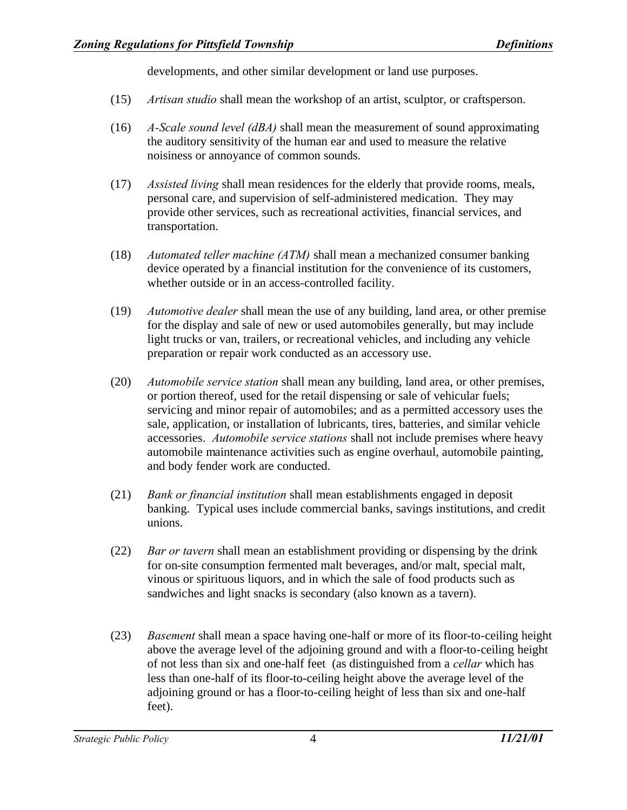developments, and other similar development or land use purposes.

- (15) *Artisan studio* shall mean the workshop of an artist, sculptor, or craftsperson.
- (16) *A-Scale sound level (dBA)* shall mean the measurement of sound approximating the auditory sensitivity of the human ear and used to measure the relative noisiness or annoyance of common sounds.
- (17) *Assisted living* shall mean residences for the elderly that provide rooms, meals, personal care, and supervision of self-administered medication. They may provide other services, such as recreational activities, financial services, and transportation.
- (18) *Automated teller machine (ATM)* shall mean a mechanized consumer banking device operated by a financial institution for the convenience of its customers, whether outside or in an access-controlled facility.
- (19) *Automotive dealer* shall mean the use of any building, land area, or other premise for the display and sale of new or used automobiles generally, but may include light trucks or van, trailers, or recreational vehicles, and including any vehicle preparation or repair work conducted as an accessory use.
- (20) *Automobile service station* shall mean any building, land area, or other premises, or portion thereof, used for the retail dispensing or sale of vehicular fuels; servicing and minor repair of automobiles; and as a permitted accessory uses the sale, application, or installation of lubricants, tires, batteries, and similar vehicle accessories. *Automobile service stations* shall not include premises where heavy automobile maintenance activities such as engine overhaul, automobile painting, and body fender work are conducted.
- (21) *Bank or financial institution* shall mean establishments engaged in deposit banking. Typical uses include commercial banks, savings institutions, and credit unions.
- (22) *Bar or tavern* shall mean an establishment providing or dispensing by the drink for on-site consumption fermented malt beverages, and/or malt, special malt, vinous or spirituous liquors, and in which the sale of food products such as sandwiches and light snacks is secondary (also known as a tavern).
- (23) *Basement* shall mean a space having one-half or more of its floor-to-ceiling height above the average level of the adjoining ground and with a floor-to-ceiling height of not less than six and one-half feet (as distinguished from a *cellar* which has less than one-half of its floor-to-ceiling height above the average level of the adjoining ground or has a floor-to-ceiling height of less than six and one-half feet).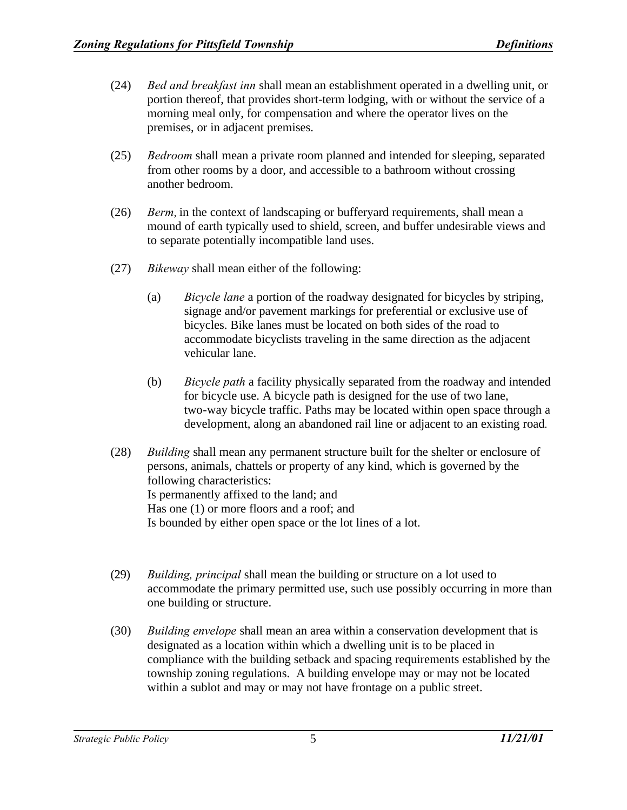- (24) *Bed and breakfast inn* shall mean an establishment operated in a dwelling unit, or portion thereof, that provides short-term lodging, with or without the service of a morning meal only, for compensation and where the operator lives on the premises, or in adjacent premises.
- (25) *Bedroom* shall mean a private room planned and intended for sleeping, separated from other rooms by a door, and accessible to a bathroom without crossing another bedroom.
- (26) *Berm*, in the context of landscaping or bufferyard requirements, shall mean a mound of earth typically used to shield, screen, and buffer undesirable views and to separate potentially incompatible land uses.
- (27) *Bikeway* shall mean either of the following:
	- (a) *Bicycle lane* a portion of the roadway designated for bicycles by striping, signage and/or pavement markings for preferential or exclusive use of bicycles. Bike lanes must be located on both sides of the road to accommodate bicyclists traveling in the same direction as the adjacent vehicular lane.
	- (b) *Bicycle path* a facility physically separated from the roadway and intended for bicycle use. A bicycle path is designed for the use of two lane, two-way bicycle traffic. Paths may be located within open space through a development, along an abandoned rail line or adjacent to an existing road.
- (28) *Building* shall mean any permanent structure built for the shelter or enclosure of persons, animals, chattels or property of any kind, which is governed by the following characteristics: Is permanently affixed to the land; and Has one (1) or more floors and a roof; and Is bounded by either open space or the lot lines of a lot.
- (29) *Building, principal* shall mean the building or structure on a lot used to accommodate the primary permitted use, such use possibly occurring in more than one building or structure.
- (30) *Building envelope* shall mean an area within a conservation development that is designated as a location within which a dwelling unit is to be placed in compliance with the building setback and spacing requirements established by the township zoning regulations. A building envelope may or may not be located within a sublot and may or may not have frontage on a public street.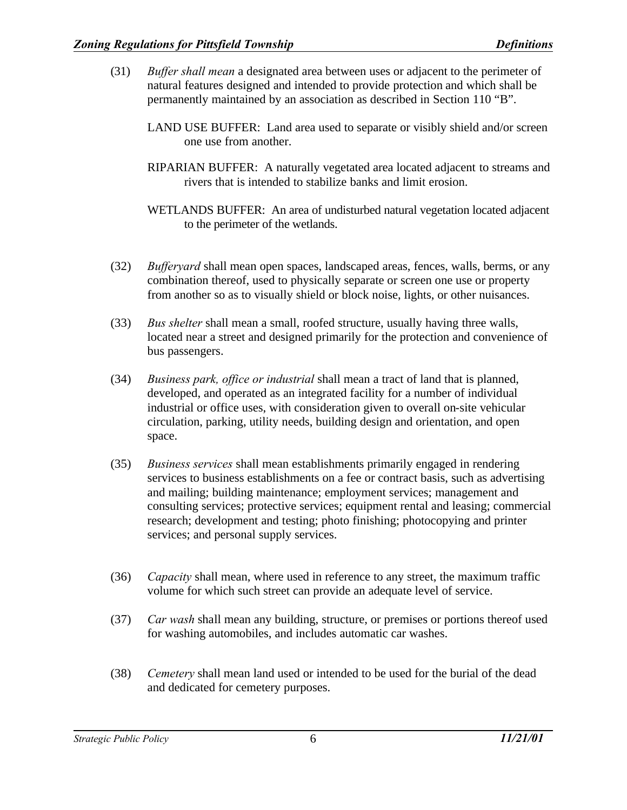- (31) *Buffer shall mean* a designated area between uses or adjacent to the perimeter of natural features designed and intended to provide protection and which shall be permanently maintained by an association as described in Section 110 "B".
	- LAND USE BUFFER: Land area used to separate or visibly shield and/or screen one use from another.
	- RIPARIAN BUFFER: A naturally vegetated area located adjacent to streams and rivers that is intended to stabilize banks and limit erosion.
	- WETLANDS BUFFER: An area of undisturbed natural vegetation located adjacent to the perimeter of the wetlands.
- (32) *Bufferyard* shall mean open spaces, landscaped areas, fences, walls, berms, or any combination thereof, used to physically separate or screen one use or property from another so as to visually shield or block noise, lights, or other nuisances.
- (33) *Bus shelter* shall mean a small, roofed structure, usually having three walls, located near a street and designed primarily for the protection and convenience of bus passengers.
- (34) *Business park, office or industrial* shall mean a tract of land that is planned, developed, and operated as an integrated facility for a number of individual industrial or office uses, with consideration given to overall on-site vehicular circulation, parking, utility needs, building design and orientation, and open space.
- (35) *Business services* shall mean establishments primarily engaged in rendering services to business establishments on a fee or contract basis, such as advertising and mailing; building maintenance; employment services; management and consulting services; protective services; equipment rental and leasing; commercial research; development and testing; photo finishing; photocopying and printer services; and personal supply services.
- (36) *Capacity* shall mean, where used in reference to any street, the maximum traffic volume for which such street can provide an adequate level of service.
- (37) *Car wash* shall mean any building, structure, or premises or portions thereof used for washing automobiles, and includes automatic car washes.
- (38) *Cemetery* shall mean land used or intended to be used for the burial of the dead and dedicated for cemetery purposes.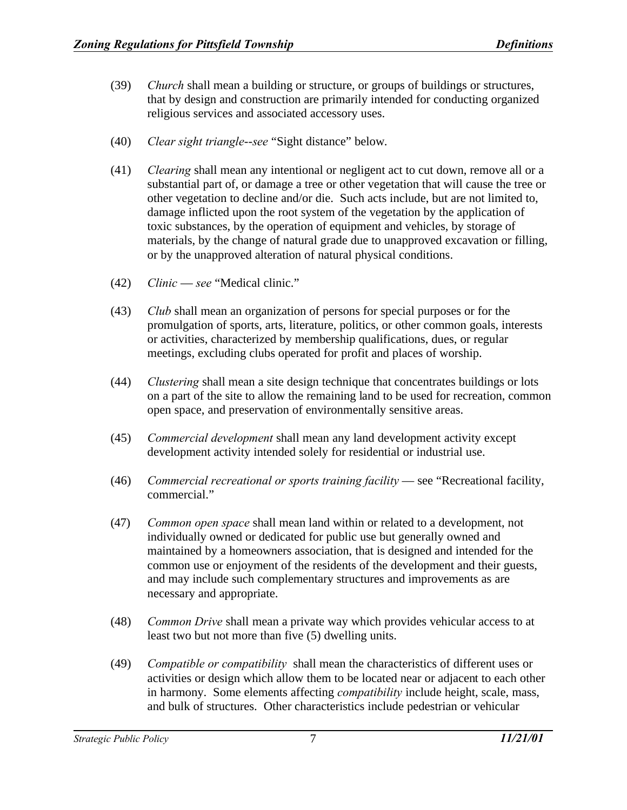- (39) *Church* shall mean a building or structure, or groups of buildings or structures, that by design and construction are primarily intended for conducting organized religious services and associated accessory uses.
- (40) *Clear sight triangle*--*see* "Sight distance" below.
- (41) *Clearing* shall mean any intentional or negligent act to cut down, remove all or a substantial part of, or damage a tree or other vegetation that will cause the tree or other vegetation to decline and/or die. Such acts include, but are not limited to, damage inflicted upon the root system of the vegetation by the application of toxic substances, by the operation of equipment and vehicles, by storage of materials, by the change of natural grade due to unapproved excavation or filling, or by the unapproved alteration of natural physical conditions.
- (42) *Clinic see* "Medical clinic."
- (43) *Club* shall mean an organization of persons for special purposes or for the promulgation of sports, arts, literature, politics, or other common goals, interests or activities, characterized by membership qualifications, dues, or regular meetings, excluding clubs operated for profit and places of worship.
- (44) *Clustering* shall mean a site design technique that concentrates buildings or lots on a part of the site to allow the remaining land to be used for recreation, common open space, and preservation of environmentally sensitive areas.
- (45) *Commercial development* shall mean any land development activity except development activity intended solely for residential or industrial use.
- (46) *Commercial recreational or sports training facility* see "Recreational facility, commercial."
- (47) *Common open space* shall mean land within or related to a development, not individually owned or dedicated for public use but generally owned and maintained by a homeowners association, that is designed and intended for the common use or enjoyment of the residents of the development and their guests, and may include such complementary structures and improvements as are necessary and appropriate.
- (48) *Common Drive* shall mean a private way which provides vehicular access to at least two but not more than five (5) dwelling units.
- (49) *Compatible or compatibility* shall mean the characteristics of different uses or activities or design which allow them to be located near or adjacent to each other in harmony. Some elements affecting *compatibility* include height, scale, mass, and bulk of structures. Other characteristics include pedestrian or vehicular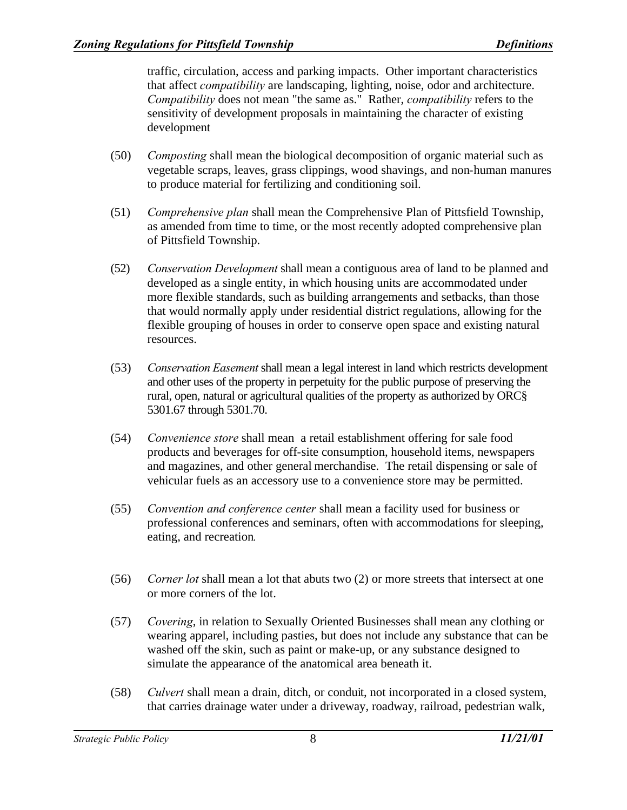traffic, circulation, access and parking impacts. Other important characteristics that affect *compatibility* are landscaping, lighting, noise, odor and architecture. *Compatibility* does not mean "the same as." Rather, *compatibility* refers to the sensitivity of development proposals in maintaining the character of existing development

- (50) *Composting* shall mean the biological decomposition of organic material such as vegetable scraps, leaves, grass clippings, wood shavings, and non-human manures to produce material for fertilizing and conditioning soil.
- (51) *Comprehensive plan* shall mean the Comprehensive Plan of Pittsfield Township, as amended from time to time, or the most recently adopted comprehensive plan of Pittsfield Township.
- (52) *Conservation Development* shall mean a contiguous area of land to be planned and developed as a single entity, in which housing units are accommodated under more flexible standards, such as building arrangements and setbacks, than those that would normally apply under residential district regulations, allowing for the flexible grouping of houses in order to conserve open space and existing natural resources.
- (53) *Conservation Easement* shall mean a legal interest in land which restricts development and other uses of the property in perpetuity for the public purpose of preserving the rural, open, natural or agricultural qualities of the property as authorized by ORC§ 5301.67 through 5301.70.
- (54) *Convenience store* shall mean a retail establishment offering for sale food products and beverages for off-site consumption, household items, newspapers and magazines, and other general merchandise. The retail dispensing or sale of vehicular fuels as an accessory use to a convenience store may be permitted.
- (55) *Convention and conference center* shall mean a facility used for business or professional conferences and seminars, often with accommodations for sleeping, eating, and recreation.
- (56) *Corner lot* shall mean a lot that abuts two (2) or more streets that intersect at one or more corners of the lot.
- (57) *Covering*, in relation to Sexually Oriented Businesses shall mean any clothing or wearing apparel, including pasties, but does not include any substance that can be washed off the skin, such as paint or make-up, or any substance designed to simulate the appearance of the anatomical area beneath it.
- (58) *Culvert* shall mean a drain, ditch, or conduit, not incorporated in a closed system, that carries drainage water under a driveway, roadway, railroad, pedestrian walk,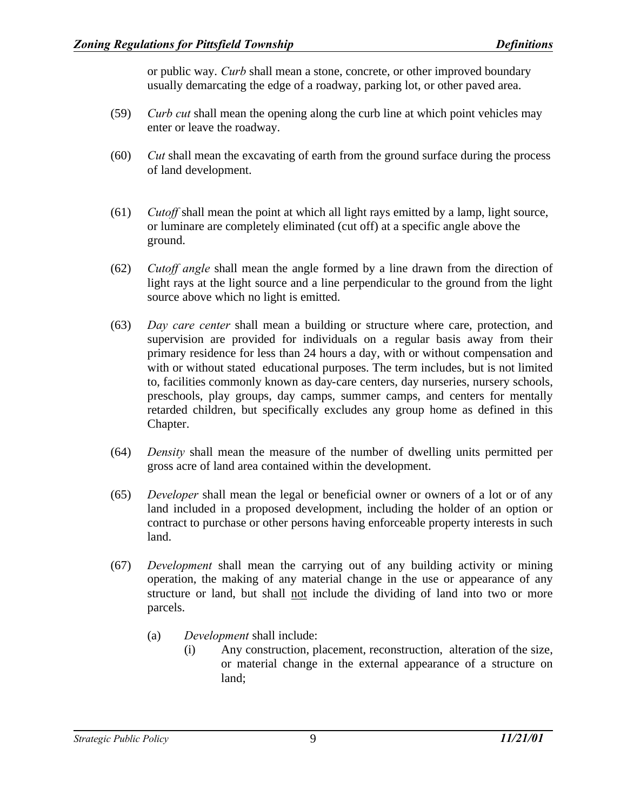or public way. *Curb* shall mean a stone, concrete, or other improved boundary usually demarcating the edge of a roadway, parking lot, or other paved area.

- (59) *Curb cut* shall mean the opening along the curb line at which point vehicles may enter or leave the roadway.
- (60) *Cut* shall mean the excavating of earth from the ground surface during the process of land development.
- (61) *Cutoff* shall mean the point at which all light rays emitted by a lamp, light source, or luminare are completely eliminated (cut off) at a specific angle above the ground.
- (62) *Cutoff angle* shall mean the angle formed by a line drawn from the direction of light rays at the light source and a line perpendicular to the ground from the light source above which no light is emitted.
- (63) *Day care center* shall mean a building or structure where care, protection, and supervision are provided for individuals on a regular basis away from their primary residence for less than 24 hours a day, with or without compensation and with or without stated educational purposes. The term includes, but is not limited to, facilities commonly known as day-care centers, day nurseries, nursery schools, preschools, play groups, day camps, summer camps, and centers for mentally retarded children, but specifically excludes any group home as defined in this Chapter.
- (64) *Density* shall mean the measure of the number of dwelling units permitted per gross acre of land area contained within the development.
- (65) *Developer* shall mean the legal or beneficial owner or owners of a lot or of any land included in a proposed development, including the holder of an option or contract to purchase or other persons having enforceable property interests in such land.
- (67) *Development* shall mean the carrying out of any building activity or mining operation, the making of any material change in the use or appearance of any structure or land, but shall not include the dividing of land into two or more parcels.
	- (a) *Development* shall include:
		- (i) Any construction, placement, reconstruction, alteration of the size, or material change in the external appearance of a structure on land;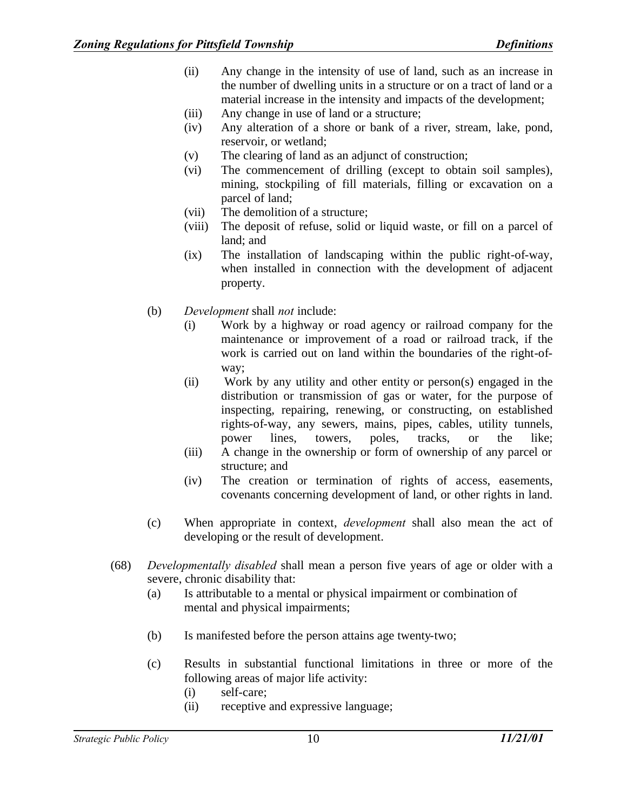- (ii) Any change in the intensity of use of land, such as an increase in the number of dwelling units in a structure or on a tract of land or a material increase in the intensity and impacts of the development;
- (iii) Any change in use of land or a structure;
- (iv) Any alteration of a shore or bank of a river, stream, lake, pond, reservoir, or wetland;
- (v) The clearing of land as an adjunct of construction;
- (vi) The commencement of drilling (except to obtain soil samples), mining, stockpiling of fill materials, filling or excavation on a parcel of land;
- (vii) The demolition of a structure;
- (viii) The deposit of refuse, solid or liquid waste, or fill on a parcel of land; and
- (ix) The installation of landscaping within the public right-of-way, when installed in connection with the development of adjacent property.
- (b) *Development* shall *not* include:
	- (i) Work by a highway or road agency or railroad company for the maintenance or improvement of a road or railroad track, if the work is carried out on land within the boundaries of the right-ofway;
	- (ii) Work by any utility and other entity or person(s) engaged in the distribution or transmission of gas or water, for the purpose of inspecting, repairing, renewing, or constructing, on established rights-of-way, any sewers, mains, pipes, cables, utility tunnels, power lines, towers, poles, tracks, or the like;
	- (iii) A change in the ownership or form of ownership of any parcel or structure; and
	- (iv) The creation or termination of rights of access, easements, covenants concerning development of land, or other rights in land.
- (c) When appropriate in context, *development* shall also mean the act of developing or the result of development.
- (68) *Developmentally disabled* shall mean a person five years of age or older with a severe, chronic disability that:
	- (a) Is attributable to a mental or physical impairment or combination of mental and physical impairments;
	- (b) Is manifested before the person attains age twenty-two;
	- (c) Results in substantial functional limitations in three or more of the following areas of major life activity:
		- (i) self-care;
		- (ii) receptive and expressive language;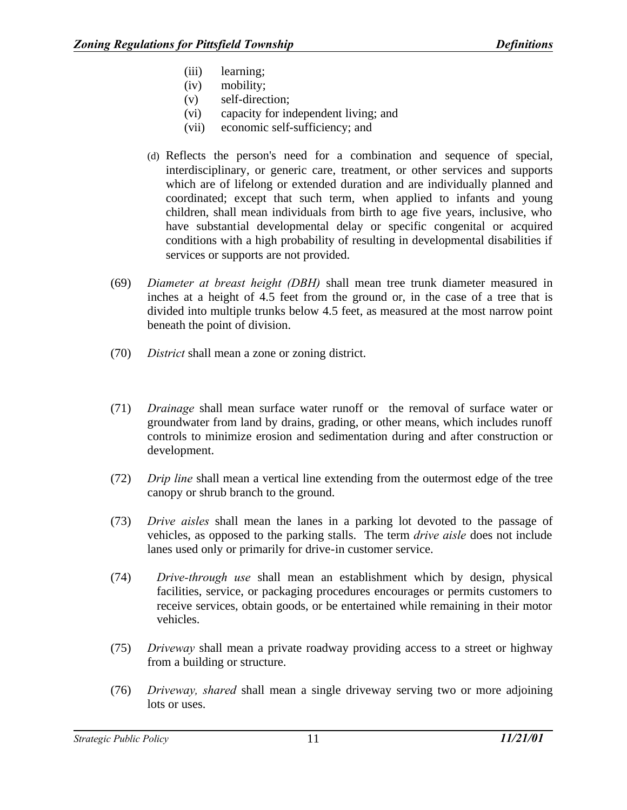- (iii) learning;
- (iv) mobility;
- (v) self-direction;
- (vi) capacity for independent living; and
- (vii) economic self-sufficiency; and
- (d) Reflects the person's need for a combination and sequence of special, interdisciplinary, or generic care, treatment, or other services and supports which are of lifelong or extended duration and are individually planned and coordinated; except that such term, when applied to infants and young children, shall mean individuals from birth to age five years, inclusive, who have substantial developmental delay or specific congenital or acquired conditions with a high probability of resulting in developmental disabilities if services or supports are not provided.
- (69) *Diameter at breast height (DBH)* shall mean tree trunk diameter measured in inches at a height of 4.5 feet from the ground or, in the case of a tree that is divided into multiple trunks below 4.5 feet, as measured at the most narrow point beneath the point of division.
- (70) *District* shall mean a zone or zoning district.
- (71) *Drainage* shall mean surface water runoff or the removal of surface water or groundwater from land by drains, grading, or other means, which includes runoff controls to minimize erosion and sedimentation during and after construction or development.
- (72) *Drip line* shall mean a vertical line extending from the outermost edge of the tree canopy or shrub branch to the ground.
- (73) *Drive aisles* shall mean the lanes in a parking lot devoted to the passage of vehicles, as opposed to the parking stalls. The term *drive aisle* does not include lanes used only or primarily for drive-in customer service.
- (74) *Drive-through use* shall mean an establishment which by design, physical facilities, service, or packaging procedures encourages or permits customers to receive services, obtain goods, or be entertained while remaining in their motor vehicles.
- (75) *Driveway* shall mean a private roadway providing access to a street or highway from a building or structure.
- (76) *Driveway, shared* shall mean a single driveway serving two or more adjoining lots or uses.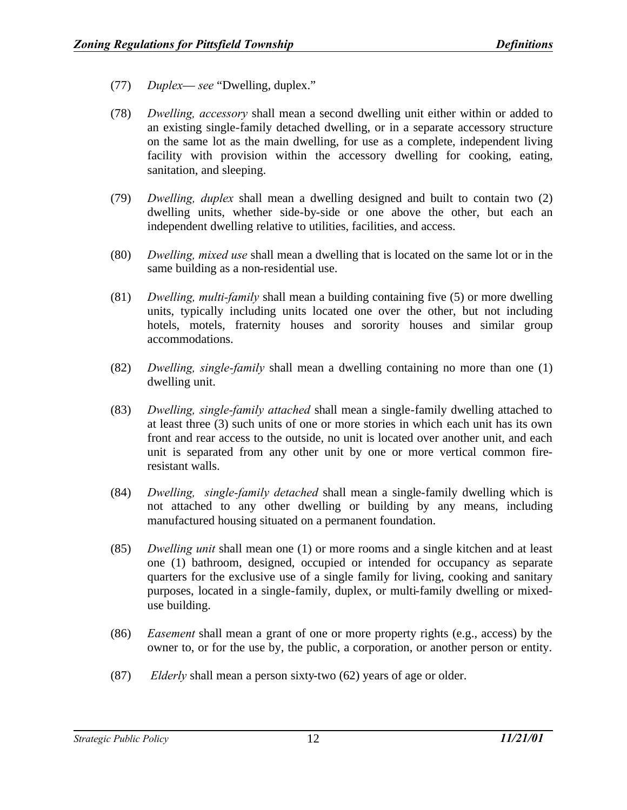- (77) *Duplex see* "Dwelling, duplex."
- (78) *Dwelling, accessory* shall mean a second dwelling unit either within or added to an existing single-family detached dwelling, or in a separate accessory structure on the same lot as the main dwelling, for use as a complete, independent living facility with provision within the accessory dwelling for cooking, eating, sanitation, and sleeping.
- (79) *Dwelling, duplex* shall mean a dwelling designed and built to contain two (2) dwelling units, whether side-by-side or one above the other, but each an independent dwelling relative to utilities, facilities, and access.
- (80) *Dwelling, mixed use* shall mean a dwelling that is located on the same lot or in the same building as a non-residential use.
- (81) *Dwelling, multi-family* shall mean a building containing five (5) or more dwelling units, typically including units located one over the other, but not including hotels, motels, fraternity houses and sorority houses and similar group accommodations.
- (82) *Dwelling, single-family* shall mean a dwelling containing no more than one (1) dwelling unit.
- (83) *Dwelling, single-family attached* shall mean a single-family dwelling attached to at least three (3) such units of one or more stories in which each unit has its own front and rear access to the outside, no unit is located over another unit, and each unit is separated from any other unit by one or more vertical common fireresistant walls.
- (84) *Dwelling, single-family detached* shall mean a single-family dwelling which is not attached to any other dwelling or building by any means, including manufactured housing situated on a permanent foundation.
- (85) *Dwelling unit* shall mean one (1) or more rooms and a single kitchen and at least one (1) bathroom, designed, occupied or intended for occupancy as separate quarters for the exclusive use of a single family for living, cooking and sanitary purposes, located in a single-family, duplex, or multi-family dwelling or mixeduse building.
- (86) *Easement* shall mean a grant of one or more property rights (e.g., access) by the owner to, or for the use by, the public, a corporation, or another person or entity.
- (87) *Elderly* shall mean a person sixty-two (62) years of age or older.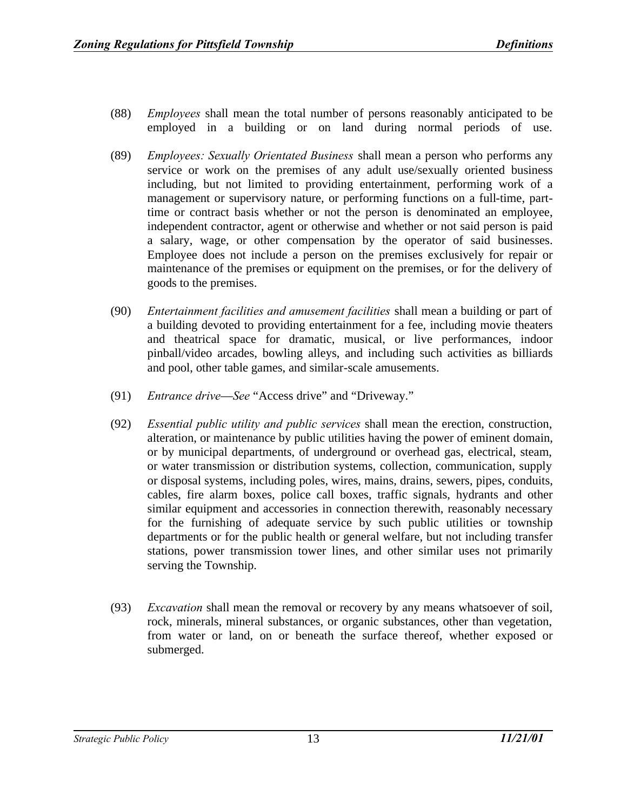- (88) *Employees* shall mean the total number of persons reasonably anticipated to be employed in a building or on land during normal periods of use.
- (89) *Employees: Sexually Orientated Business* shall mean a person who performs any service or work on the premises of any adult use/sexually oriented business including, but not limited to providing entertainment, performing work of a management or supervisory nature, or performing functions on a full-time, parttime or contract basis whether or not the person is denominated an employee, independent contractor, agent or otherwise and whether or not said person is paid a salary, wage, or other compensation by the operator of said businesses. Employee does not include a person on the premises exclusively for repair or maintenance of the premises or equipment on the premises, or for the delivery of goods to the premises.
- (90) *Entertainment facilities and amusement facilities* shall mean a building or part of a building devoted to providing entertainment for a fee, including movie theaters and theatrical space for dramatic, musical, or live performances, indoor pinball/video arcades, bowling alleys, and including such activities as billiards and pool, other table games, and similar-scale amusements.
- (91) *Entrance drive*—*See* "Access drive" and "Driveway."
- (92) *Essential public utility and public services* shall mean the erection, construction, alteration, or maintenance by public utilities having the power of eminent domain, or by municipal departments, of underground or overhead gas, electrical, steam, or water transmission or distribution systems, collection, communication, supply or disposal systems, including poles, wires, mains, drains, sewers, pipes, conduits, cables, fire alarm boxes, police call boxes, traffic signals, hydrants and other similar equipment and accessories in connection therewith, reasonably necessary for the furnishing of adequate service by such public utilities or township departments or for the public health or general welfare, but not including transfer stations, power transmission tower lines, and other similar uses not primarily serving the Township.
- (93) *Excavation* shall mean the removal or recovery by any means whatsoever of soil, rock, minerals, mineral substances, or organic substances, other than vegetation, from water or land, on or beneath the surface thereof, whether exposed or submerged.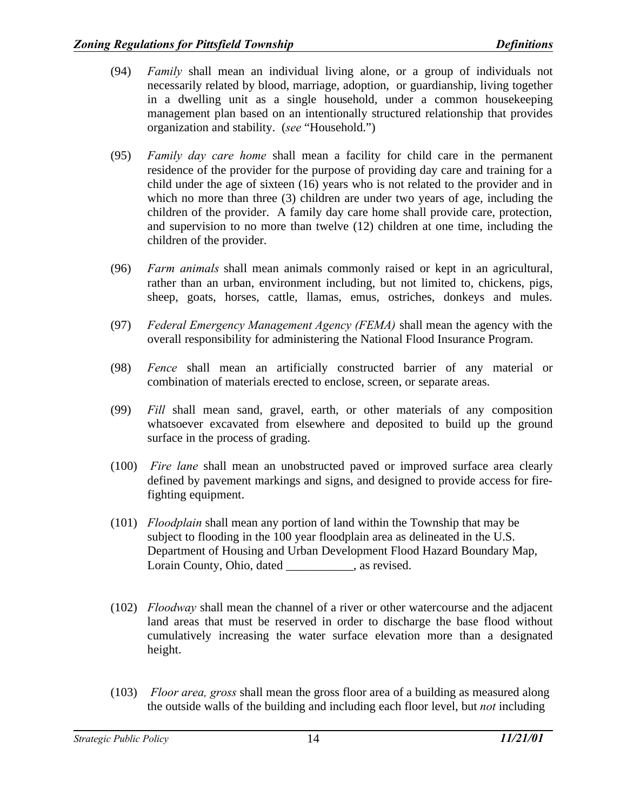- (94) *Family* shall mean an individual living alone, or a group of individuals not necessarily related by blood, marriage, adoption, or guardianship, living together in a dwelling unit as a single household, under a common housekeeping management plan based on an intentionally structured relationship that provides organization and stability. (*see* "Household.")
- (95) *Family day care home* shall mean a facility for child care in the permanent residence of the provider for the purpose of providing day care and training for a child under the age of sixteen (16) years who is not related to the provider and in which no more than three (3) children are under two years of age, including the children of the provider. A family day care home shall provide care, protection, and supervision to no more than twelve (12) children at one time, including the children of the provider.
- (96) *Farm animals* shall mean animals commonly raised or kept in an agricultural, rather than an urban, environment including, but not limited to, chickens, pigs, sheep, goats, horses, cattle, llamas, emus, ostriches, donkeys and mules.
- (97) *Federal Emergency Management Agency (FEMA)* shall mean the agency with the overall responsibility for administering the National Flood Insurance Program.
- (98) *Fence* shall mean an artificially constructed barrier of any material or combination of materials erected to enclose, screen, or separate areas.
- (99) *Fill* shall mean sand, gravel, earth, or other materials of any composition whatsoever excavated from elsewhere and deposited to build up the ground surface in the process of grading.
- (100) *Fire lane* shall mean an unobstructed paved or improved surface area clearly defined by pavement markings and signs, and designed to provide access for firefighting equipment.
- (101) *Floodplain* shall mean any portion of land within the Township that may be subject to flooding in the 100 year floodplain area as delineated in the U.S. Department of Housing and Urban Development Flood Hazard Boundary Map, Lorain County, Ohio, dated \_\_\_\_\_\_\_\_\_, as revised.
- (102) *Floodway* shall mean the channel of a river or other watercourse and the adjacent land areas that must be reserved in order to discharge the base flood without cumulatively increasing the water surface elevation more than a designated height.
- (103) *Floor area, gross* shall mean the gross floor area of a building as measured along the outside walls of the building and including each floor level, but *not* including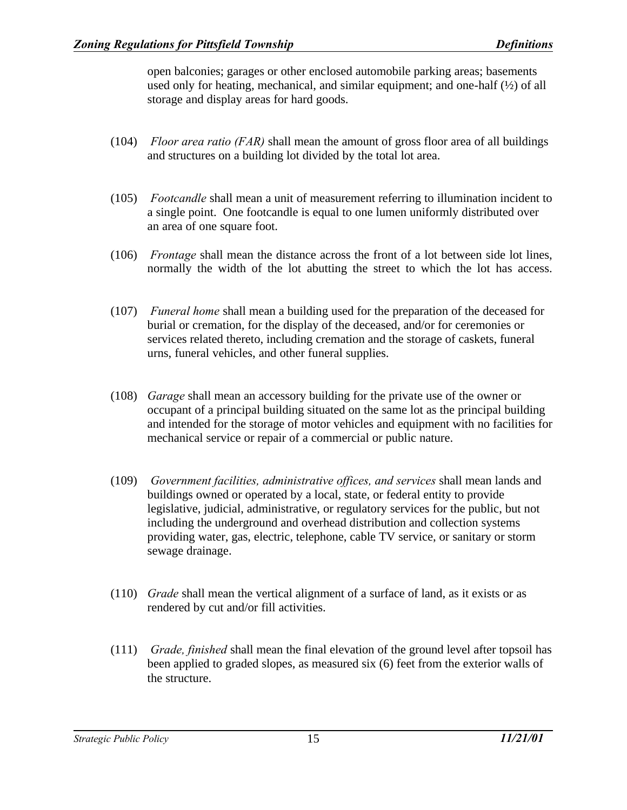open balconies; garages or other enclosed automobile parking areas; basements used only for heating, mechanical, and similar equipment; and one-half (½) of all storage and display areas for hard goods.

- (104) *Floor area ratio (FAR)* shall mean the amount of gross floor area of all buildings and structures on a building lot divided by the total lot area.
- (105) *Footcandle* shall mean a unit of measurement referring to illumination incident to a single point. One footcandle is equal to one lumen uniformly distributed over an area of one square foot.
- (106) *Frontage* shall mean the distance across the front of a lot between side lot lines, normally the width of the lot abutting the street to which the lot has access.
- (107) *Funeral home* shall mean a building used for the preparation of the deceased for burial or cremation, for the display of the deceased, and/or for ceremonies or services related thereto, including cremation and the storage of caskets, funeral urns, funeral vehicles, and other funeral supplies.
- (108) *Garage* shall mean an accessory building for the private use of the owner or occupant of a principal building situated on the same lot as the principal building and intended for the storage of motor vehicles and equipment with no facilities for mechanical service or repair of a commercial or public nature.
- (109) *Government facilities, administrative offices, and services* shall mean lands and buildings owned or operated by a local, state, or federal entity to provide legislative, judicial, administrative, or regulatory services for the public, but not including the underground and overhead distribution and collection systems providing water, gas, electric, telephone, cable TV service, or sanitary or storm sewage drainage.
- (110) *Grade* shall mean the vertical alignment of a surface of land, as it exists or as rendered by cut and/or fill activities.
- (111) *Grade, finished* shall mean the final elevation of the ground level after topsoil has been applied to graded slopes, as measured six (6) feet from the exterior walls of the structure.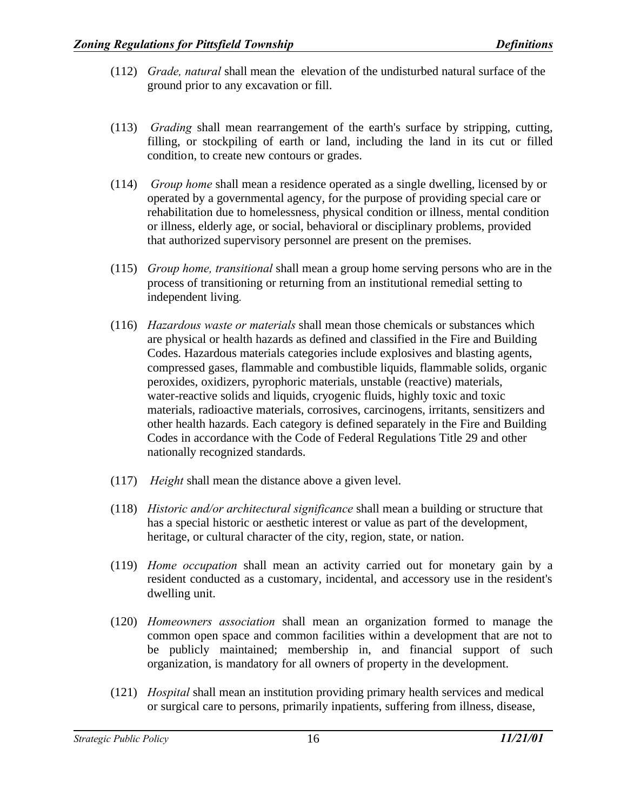- (112) *Grade, natural* shall mean the elevation of the undisturbed natural surface of the ground prior to any excavation or fill.
- (113) *Grading* shall mean rearrangement of the earth's surface by stripping, cutting, filling, or stockpiling of earth or land, including the land in its cut or filled condition, to create new contours or grades.
- (114) *Group home* shall mean a residence operated as a single dwelling, licensed by or operated by a governmental agency, for the purpose of providing special care or rehabilitation due to homelessness, physical condition or illness, mental condition or illness, elderly age, or social, behavioral or disciplinary problems, provided that authorized supervisory personnel are present on the premises.
- (115) *Group home, transitional* shall mean a group home serving persons who are in the process of transitioning or returning from an institutional remedial setting to independent living.
- (116) *Hazardous waste or materials* shall mean those chemicals or substances which are physical or health hazards as defined and classified in the Fire and Building Codes. Hazardous materials categories include explosives and blasting agents, compressed gases, flammable and combustible liquids, flammable solids, organic peroxides, oxidizers, pyrophoric materials, unstable (reactive) materials, water-reactive solids and liquids, cryogenic fluids, highly toxic and toxic materials, radioactive materials, corrosives, carcinogens, irritants, sensitizers and other health hazards. Each category is defined separately in the Fire and Building Codes in accordance with the Code of Federal Regulations Title 29 and other nationally recognized standards.
- (117) *Height* shall mean the distance above a given level.
- (118) *Historic and/or architectural significance* shall mean a building or structure that has a special historic or aesthetic interest or value as part of the development, heritage, or cultural character of the city, region, state, or nation.
- (119) *Home occupation* shall mean an activity carried out for monetary gain by a resident conducted as a customary, incidental, and accessory use in the resident's dwelling unit.
- (120) *Homeowners association* shall mean an organization formed to manage the common open space and common facilities within a development that are not to be publicly maintained; membership in, and financial support of such organization, is mandatory for all owners of property in the development.
- (121) *Hospital* shall mean an institution providing primary health services and medical or surgical care to persons, primarily inpatients, suffering from illness, disease,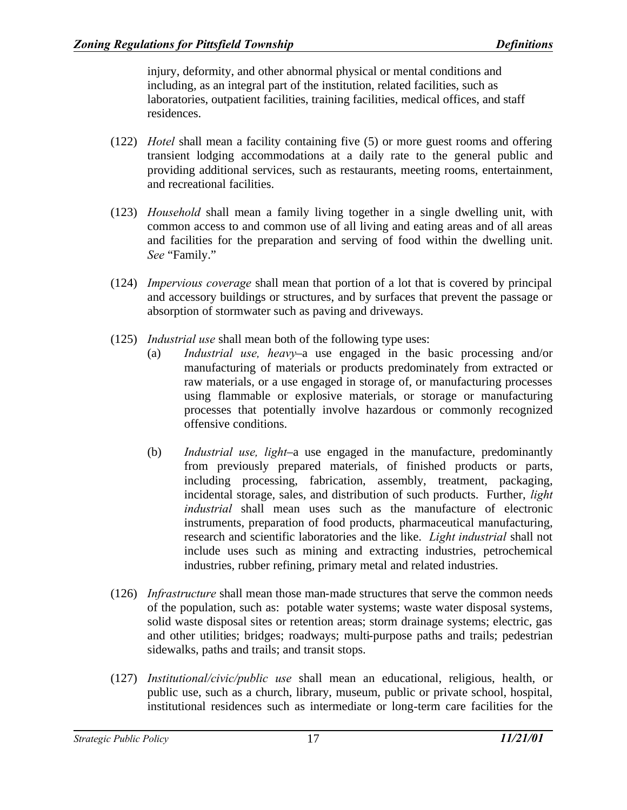injury, deformity, and other abnormal physical or mental conditions and including, as an integral part of the institution, related facilities, such as laboratories, outpatient facilities, training facilities, medical offices, and staff residences.

- (122) *Hotel* shall mean a facility containing five (5) or more guest rooms and offering transient lodging accommodations at a daily rate to the general public and providing additional services, such as restaurants, meeting rooms, entertainment, and recreational facilities.
- (123) *Household* shall mean a family living together in a single dwelling unit, with common access to and common use of all living and eating areas and of all areas and facilities for the preparation and serving of food within the dwelling unit. *See* "Family."
- (124) *Impervious coverage* shall mean that portion of a lot that is covered by principal and accessory buildings or structures, and by surfaces that prevent the passage or absorption of stormwater such as paving and driveways.
- (125) *Industrial use* shall mean both of the following type uses:
	- (a) *Industrial use, heavy*–a use engaged in the basic processing and/or manufacturing of materials or products predominately from extracted or raw materials, or a use engaged in storage of, or manufacturing processes using flammable or explosive materials, or storage or manufacturing processes that potentially involve hazardous or commonly recognized offensive conditions.
	- (b) *Industrial use, light*–a use engaged in the manufacture, predominantly from previously prepared materials, of finished products or parts, including processing, fabrication, assembly, treatment, packaging, incidental storage, sales, and distribution of such products. Further, *light industrial* shall mean uses such as the manufacture of electronic instruments, preparation of food products, pharmaceutical manufacturing, research and scientific laboratories and the like. *Light industrial* shall not include uses such as mining and extracting industries, petrochemical industries, rubber refining, primary metal and related industries.
- (126) *Infrastructure* shall mean those man-made structures that serve the common needs of the population, such as: potable water systems; waste water disposal systems, solid waste disposal sites or retention areas; storm drainage systems; electric, gas and other utilities; bridges; roadways; multi-purpose paths and trails; pedestrian sidewalks, paths and trails; and transit stops.
- (127) *Institutional/civic/public use* shall mean an educational, religious, health, or public use, such as a church, library, museum, public or private school, hospital, institutional residences such as intermediate or long-term care facilities for the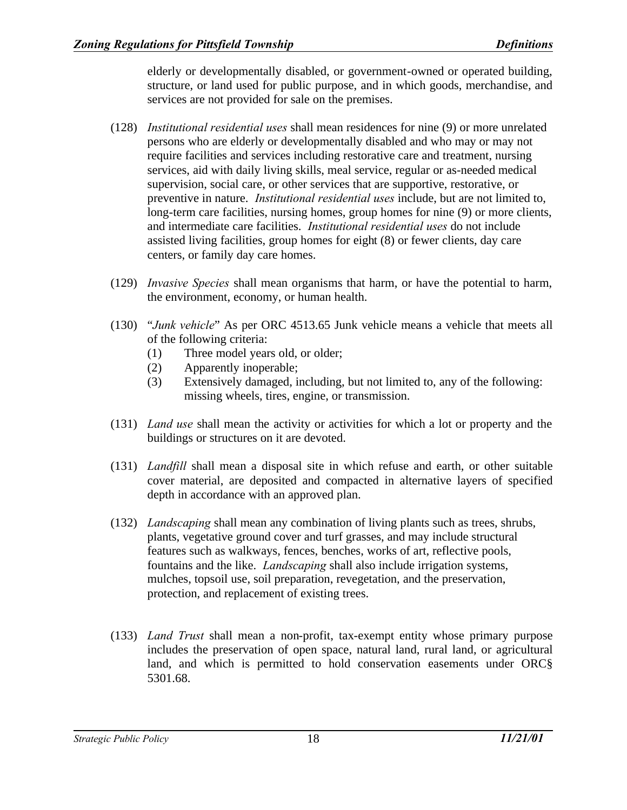elderly or developmentally disabled, or government-owned or operated building, structure, or land used for public purpose, and in which goods, merchandise, and services are not provided for sale on the premises.

- (128) *Institutional residential uses* shall mean residences for nine (9) or more unrelated persons who are elderly or developmentally disabled and who may or may not require facilities and services including restorative care and treatment, nursing services, aid with daily living skills, meal service, regular or as-needed medical supervision, social care, or other services that are supportive, restorative, or preventive in nature. *Institutional residential uses* include, but are not limited to, long-term care facilities, nursing homes, group homes for nine (9) or more clients, and intermediate care facilities. *Institutional residential uses* do not include assisted living facilities, group homes for eight (8) or fewer clients, day care centers, or family day care homes.
- (129) *Invasive Species* shall mean organisms that harm, or have the potential to harm, the environment, economy, or human health.
- (130) "*Junk vehicle*" As per ORC 4513.65 Junk vehicle means a vehicle that meets all of the following criteria:
	- (1) Three model years old, or older;
	- (2) Apparently inoperable;
	- (3) Extensively damaged, including, but not limited to, any of the following: missing wheels, tires, engine, or transmission.
- (131) *Land use* shall mean the activity or activities for which a lot or property and the buildings or structures on it are devoted.
- (131) *Landfill* shall mean a disposal site in which refuse and earth, or other suitable cover material, are deposited and compacted in alternative layers of specified depth in accordance with an approved plan.
- (132) *Landscaping* shall mean any combination of living plants such as trees, shrubs, plants, vegetative ground cover and turf grasses, and may include structural features such as walkways, fences, benches, works of art, reflective pools, fountains and the like. *Landscaping* shall also include irrigation systems, mulches, topsoil use, soil preparation, revegetation, and the preservation, protection, and replacement of existing trees.
- (133) *Land Trust* shall mean a non-profit, tax-exempt entity whose primary purpose includes the preservation of open space, natural land, rural land, or agricultural land, and which is permitted to hold conservation easements under ORC§ 5301.68.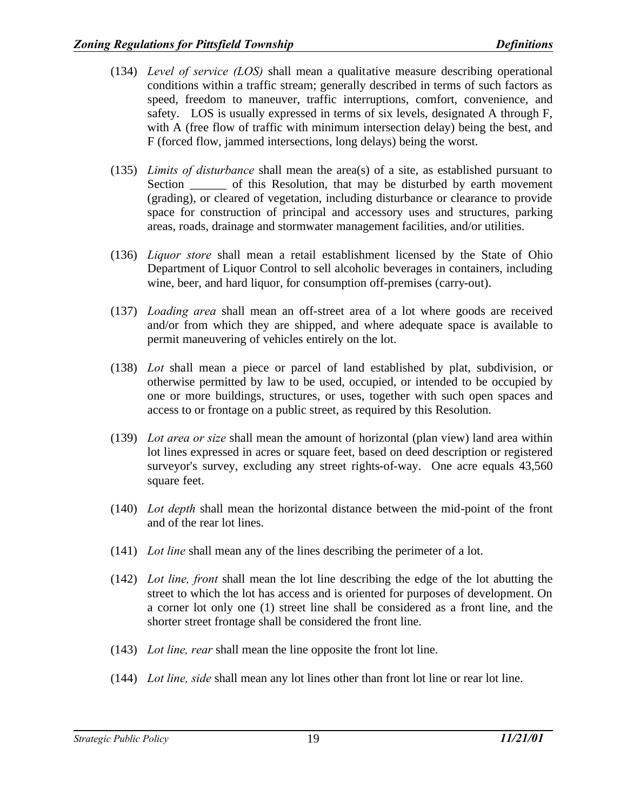- (134) *Level of service (LOS)* shall mean a qualitative measure describing operational conditions within a traffic stream; generally described in terms of such factors as speed, freedom to maneuver, traffic interruptions, comfort, convenience, and safety. LOS is usually expressed in terms of six levels, designated A through F, with A (free flow of traffic with minimum intersection delay) being the best, and F (forced flow, jammed intersections, long delays) being the worst.
- (135) *Limits of disturbance* shall mean the area(s) of a site, as established pursuant to Section \_\_\_\_\_\_\_ of this Resolution, that may be disturbed by earth movement (grading), or cleared of vegetation, including disturbance or clearance to provide space for construction of principal and accessory uses and structures, parking areas, roads, drainage and stormwater management facilities, and/or utilities.
- (136) *Liquor store* shall mean a retail establishment licensed by the State of Ohio Department of Liquor Control to sell alcoholic beverages in containers, including wine, beer, and hard liquor, for consumption off-premises (carry-out).
- (137) *Loading area* shall mean an off-street area of a lot where goods are received and/or from which they are shipped, and where adequate space is available to permit maneuvering of vehicles entirely on the lot.
- (138) *Lot* shall mean a piece or parcel of land established by plat, subdivision, or otherwise permitted by law to be used, occupied, or intended to be occupied by one or more buildings, structures, or uses, together with such open spaces and access to or frontage on a public street, as required by this Resolution.
- (139) *Lot area or size* shall mean the amount of horizontal (plan view) land area within lot lines expressed in acres or square feet, based on deed description or registered surveyor's survey, excluding any street rights-of-way. One acre equals 43,560 square feet.
- (140) *Lot depth* shall mean the horizontal distance between the mid-point of the front and of the rear lot lines.
- (141) *Lot line* shall mean any of the lines describing the perimeter of a lot.
- (142) *Lot line, front* shall mean the lot line describing the edge of the lot abutting the street to which the lot has access and is oriented for purposes of development. On a corner lot only one (1) street line shall be considered as a front line, and the shorter street frontage shall be considered the front line.
- (143) *Lot line, rear* shall mean the line opposite the front lot line.
- (144) *Lot line, side* shall mean any lot lines other than front lot line or rear lot line.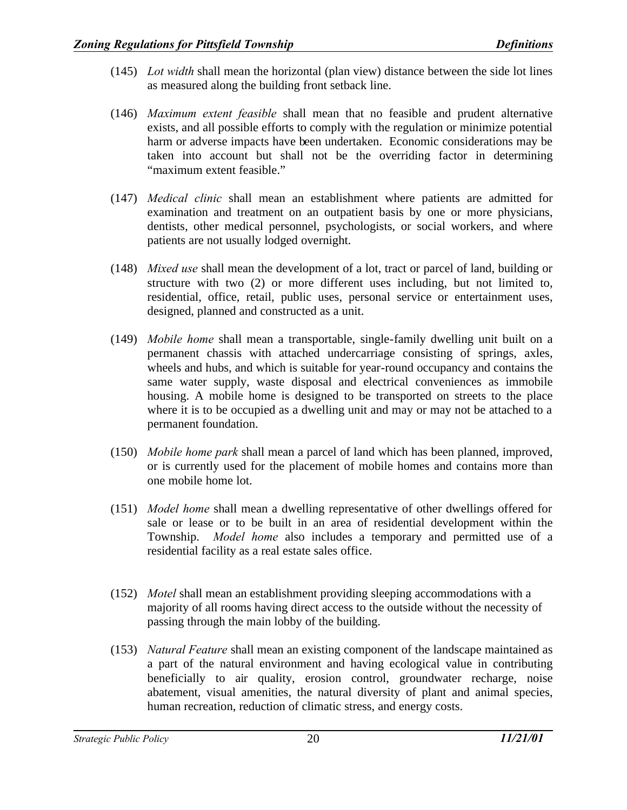- (145) *Lot width* shall mean the horizontal (plan view) distance between the side lot lines as measured along the building front setback line.
- (146) *Maximum extent feasible* shall mean that no feasible and prudent alternative exists, and all possible efforts to comply with the regulation or minimize potential harm or adverse impacts have been undertaken. Economic considerations may be taken into account but shall not be the overriding factor in determining "maximum extent feasible."
- (147) *Medical clinic* shall mean an establishment where patients are admitted for examination and treatment on an outpatient basis by one or more physicians, dentists, other medical personnel, psychologists, or social workers, and where patients are not usually lodged overnight.
- (148) *Mixed use* shall mean the development of a lot, tract or parcel of land, building or structure with two (2) or more different uses including, but not limited to, residential, office, retail, public uses, personal service or entertainment uses, designed, planned and constructed as a unit.
- (149) *Mobile home* shall mean a transportable, single-family dwelling unit built on a permanent chassis with attached undercarriage consisting of springs, axles, wheels and hubs, and which is suitable for year-round occupancy and contains the same water supply, waste disposal and electrical conveniences as immobile housing. A mobile home is designed to be transported on streets to the place where it is to be occupied as a dwelling unit and may or may not be attached to a permanent foundation.
- (150) *Mobile home park* shall mean a parcel of land which has been planned, improved, or is currently used for the placement of mobile homes and contains more than one mobile home lot.
- (151) *Model home* shall mean a dwelling representative of other dwellings offered for sale or lease or to be built in an area of residential development within the Township. *Model home* also includes a temporary and permitted use of a residential facility as a real estate sales office.
- (152) *Motel* shall mean an establishment providing sleeping accommodations with a majority of all rooms having direct access to the outside without the necessity of passing through the main lobby of the building.
- (153) *Natural Feature* shall mean an existing component of the landscape maintained as a part of the natural environment and having ecological value in contributing beneficially to air quality, erosion control, groundwater recharge, noise abatement, visual amenities, the natural diversity of plant and animal species, human recreation, reduction of climatic stress, and energy costs.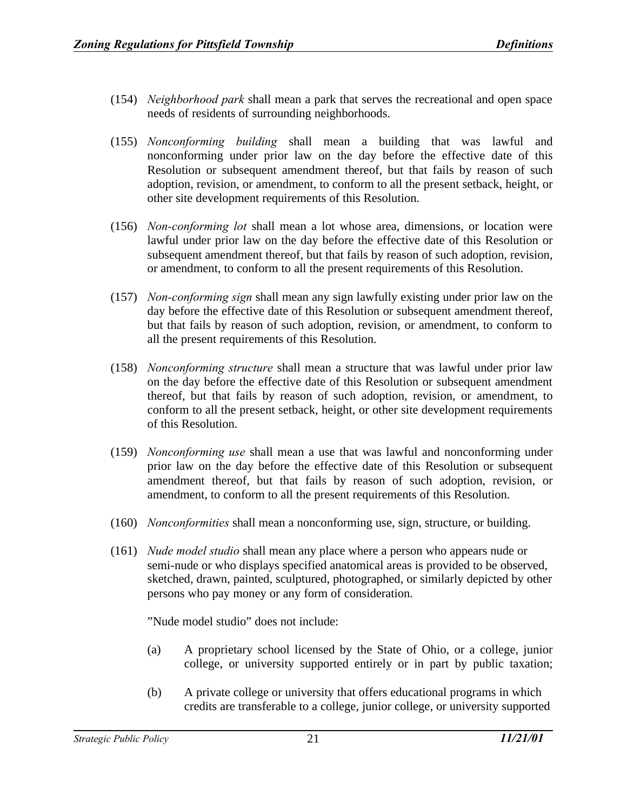- (154) *Neighborhood park* shall mean a park that serves the recreational and open space needs of residents of surrounding neighborhoods.
- (155) *Nonconforming building* shall mean a building that was lawful and nonconforming under prior law on the day before the effective date of this Resolution or subsequent amendment thereof, but that fails by reason of such adoption, revision, or amendment, to conform to all the present setback, height, or other site development requirements of this Resolution.
- (156) *Non-conforming lot* shall mean a lot whose area, dimensions, or location were lawful under prior law on the day before the effective date of this Resolution or subsequent amendment thereof, but that fails by reason of such adoption, revision, or amendment, to conform to all the present requirements of this Resolution.
- (157) *Non-conforming sign* shall mean any sign lawfully existing under prior law on the day before the effective date of this Resolution or subsequent amendment thereof, but that fails by reason of such adoption, revision, or amendment, to conform to all the present requirements of this Resolution.
- (158) *Nonconforming structure* shall mean a structure that was lawful under prior law on the day before the effective date of this Resolution or subsequent amendment thereof, but that fails by reason of such adoption, revision, or amendment, to conform to all the present setback, height, or other site development requirements of this Resolution.
- (159) *Nonconforming use* shall mean a use that was lawful and nonconforming under prior law on the day before the effective date of this Resolution or subsequent amendment thereof, but that fails by reason of such adoption, revision, or amendment, to conform to all the present requirements of this Resolution.
- (160) *Nonconformities* shall mean a nonconforming use, sign, structure, or building.
- (161) *Nude model studio* shall mean any place where a person who appears nude or semi-nude or who displays specified anatomical areas is provided to be observed, sketched, drawn, painted, sculptured, photographed, or similarly depicted by other persons who pay money or any form of consideration.

"Nude model studio" does not include:

- (a) A proprietary school licensed by the State of Ohio, or a college, junior college, or university supported entirely or in part by public taxation;
- (b) A private college or university that offers educational programs in which credits are transferable to a college, junior college, or university supported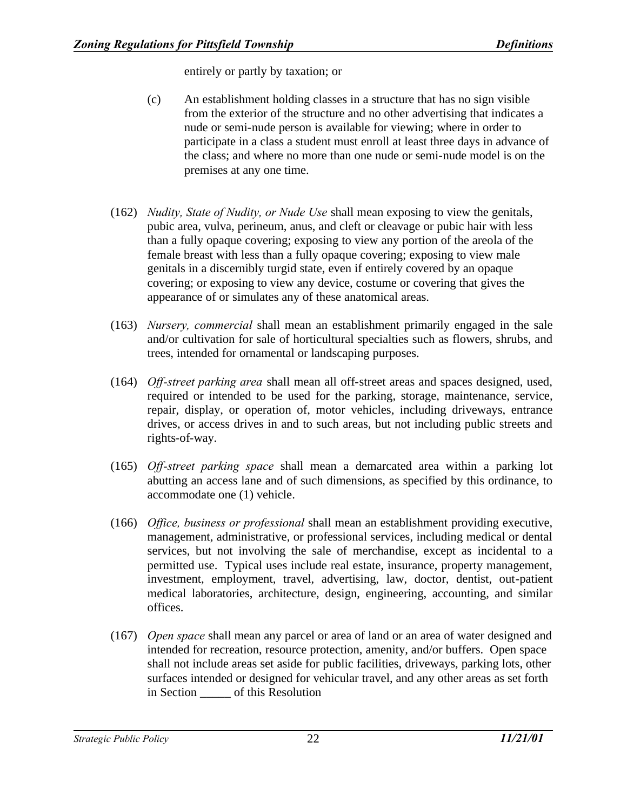entirely or partly by taxation; or

- (c) An establishment holding classes in a structure that has no sign visible from the exterior of the structure and no other advertising that indicates a nude or semi-nude person is available for viewing; where in order to participate in a class a student must enroll at least three days in advance of the class; and where no more than one nude or semi-nude model is on the premises at any one time.
- (162) *Nudity, State of Nudity, or Nude Use* shall mean exposing to view the genitals, pubic area, vulva, perineum, anus, and cleft or cleavage or pubic hair with less than a fully opaque covering; exposing to view any portion of the areola of the female breast with less than a fully opaque covering; exposing to view male genitals in a discernibly turgid state, even if entirely covered by an opaque covering; or exposing to view any device, costume or covering that gives the appearance of or simulates any of these anatomical areas.
- (163) *Nursery, commercial* shall mean an establishment primarily engaged in the sale and/or cultivation for sale of horticultural specialties such as flowers, shrubs, and trees, intended for ornamental or landscaping purposes.
- (164) *Off-street parking area* shall mean all off-street areas and spaces designed, used, required or intended to be used for the parking, storage, maintenance, service, repair, display, or operation of, motor vehicles, including driveways, entrance drives, or access drives in and to such areas, but not including public streets and rights-of-way.
- (165) *Off-street parking space* shall mean a demarcated area within a parking lot abutting an access lane and of such dimensions, as specified by this ordinance, to accommodate one (1) vehicle.
- (166) *Office, business or professional* shall mean an establishment providing executive, management, administrative, or professional services, including medical or dental services, but not involving the sale of merchandise, except as incidental to a permitted use. Typical uses include real estate, insurance, property management, investment, employment, travel, advertising, law, doctor, dentist, out-patient medical laboratories, architecture, design, engineering, accounting, and similar offices.
- (167) *Open space* shall mean any parcel or area of land or an area of water designed and intended for recreation, resource protection, amenity, and/or buffers. Open space shall not include areas set aside for public facilities, driveways, parking lots, other surfaces intended or designed for vehicular travel, and any other areas as set forth in Section \_\_\_\_\_ of this Resolution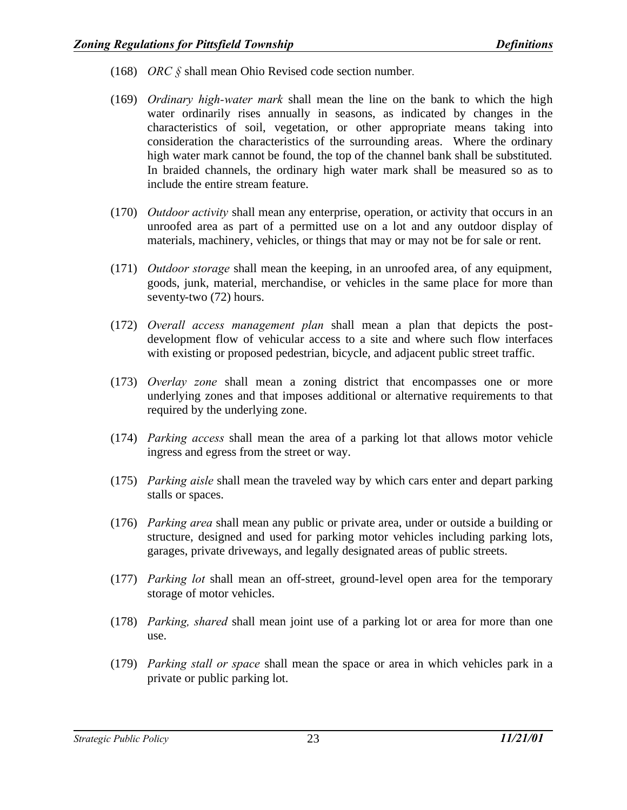- (168) *ORC §* shall mean Ohio Revised code section number*.*
- (169) *Ordinary high-water mark* shall mean the line on the bank to which the high water ordinarily rises annually in seasons, as indicated by changes in the characteristics of soil, vegetation, or other appropriate means taking into consideration the characteristics of the surrounding areas. Where the ordinary high water mark cannot be found, the top of the channel bank shall be substituted. In braided channels, the ordinary high water mark shall be measured so as to include the entire stream feature.
- (170) *Outdoor activity* shall mean any enterprise, operation, or activity that occurs in an unroofed area as part of a permitted use on a lot and any outdoor display of materials, machinery, vehicles, or things that may or may not be for sale or rent.
- (171) *Outdoor storage* shall mean the keeping, in an unroofed area, of any equipment, goods, junk, material, merchandise, or vehicles in the same place for more than seventy-two (72) hours.
- (172) *Overall access management plan* shall mean a plan that depicts the postdevelopment flow of vehicular access to a site and where such flow interfaces with existing or proposed pedestrian, bicycle, and adjacent public street traffic.
- (173) *Overlay zone* shall mean a zoning district that encompasses one or more underlying zones and that imposes additional or alternative requirements to that required by the underlying zone.
- (174) *Parking access* shall mean the area of a parking lot that allows motor vehicle ingress and egress from the street or way.
- (175) *Parking aisle* shall mean the traveled way by which cars enter and depart parking stalls or spaces.
- (176) *Parking area* shall mean any public or private area, under or outside a building or structure, designed and used for parking motor vehicles including parking lots, garages, private driveways, and legally designated areas of public streets.
- (177) *Parking lot* shall mean an off-street, ground-level open area for the temporary storage of motor vehicles.
- (178) *Parking, shared* shall mean joint use of a parking lot or area for more than one use.
- (179) *Parking stall or space* shall mean the space or area in which vehicles park in a private or public parking lot.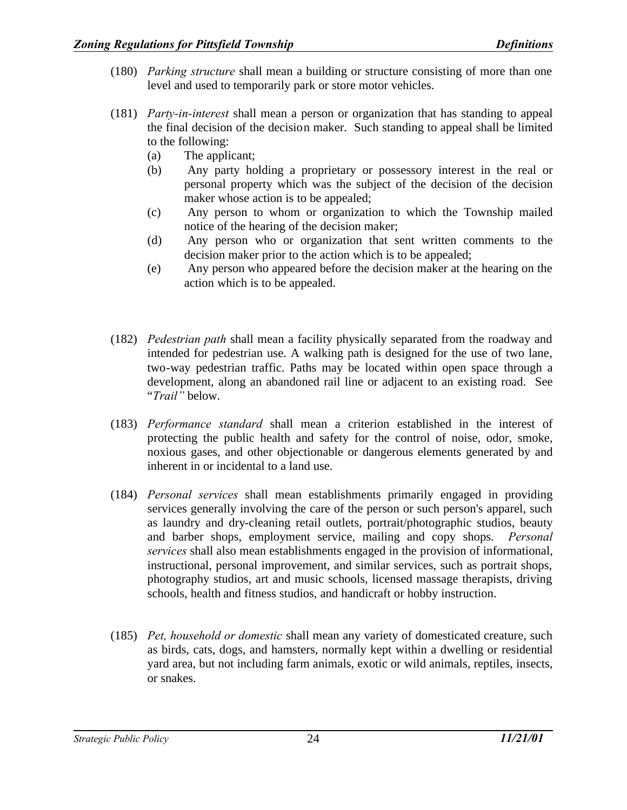- (180) *Parking structure* shall mean a building or structure consisting of more than one level and used to temporarily park or store motor vehicles.
- (181) *Party-in-interest* shall mean a person or organization that has standing to appeal the final decision of the decision maker. Such standing to appeal shall be limited to the following:
	- (a) The applicant;
	- (b) Any party holding a proprietary or possessory interest in the real or personal property which was the subject of the decision of the decision maker whose action is to be appealed;
	- (c) Any person to whom or organization to which the Township mailed notice of the hearing of the decision maker;
	- (d) Any person who or organization that sent written comments to the decision maker prior to the action which is to be appealed;
	- (e) Any person who appeared before the decision maker at the hearing on the action which is to be appealed.
- (182) *Pedestrian path* shall mean a facility physically separated from the roadway and intended for pedestrian use. A walking path is designed for the use of two lane, two-way pedestrian traffic. Paths may be located within open space through a development, along an abandoned rail line or adjacent to an existing road. See "*Trail"* below.
- (183) *Performance standard* shall mean a criterion established in the interest of protecting the public health and safety for the control of noise, odor, smoke, noxious gases, and other objectionable or dangerous elements generated by and inherent in or incidental to a land use.
- (184) *Personal services* shall mean establishments primarily engaged in providing services generally involving the care of the person or such person's apparel, such as laundry and dry-cleaning retail outlets, portrait/photographic studios, beauty and barber shops, employment service, mailing and copy shops. *Personal services* shall also mean establishments engaged in the provision of informational, instructional, personal improvement, and similar services, such as portrait shops, photography studios, art and music schools, licensed massage therapists, driving schools, health and fitness studios, and handicraft or hobby instruction.
- (185) *Pet, household or domestic* shall mean any variety of domesticated creature, such as birds, cats, dogs, and hamsters, normally kept within a dwelling or residential yard area, but not including farm animals, exotic or wild animals, reptiles, insects, or snakes.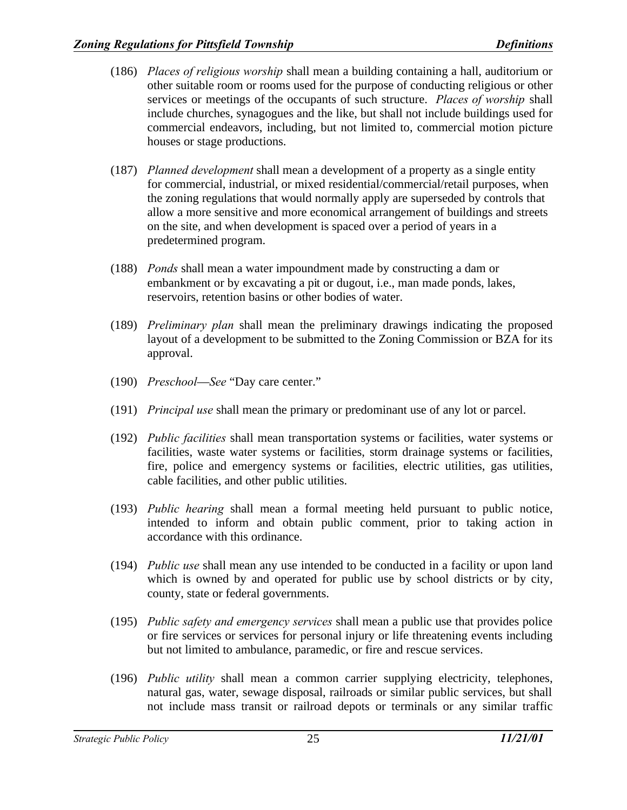- (186) *Places of religious worship* shall mean a building containing a hall, auditorium or other suitable room or rooms used for the purpose of conducting religious or other services or meetings of the occupants of such structure. *Places of worship* shall include churches, synagogues and the like, but shall not include buildings used for commercial endeavors, including, but not limited to, commercial motion picture houses or stage productions.
- (187) *Planned development* shall mean a development of a property as a single entity for commercial, industrial, or mixed residential/commercial/retail purposes, when the zoning regulations that would normally apply are superseded by controls that allow a more sensitive and more economical arrangement of buildings and streets on the site, and when development is spaced over a period of years in a predetermined program.
- (188) *Ponds* shall mean a water impoundment made by constructing a dam or embankment or by excavating a pit or dugout, i.e., man made ponds, lakes, reservoirs, retention basins or other bodies of water.
- (189) *Preliminary plan* shall mean the preliminary drawings indicating the proposed layout of a development to be submitted to the Zoning Commission or BZA for its approval.
- (190) *Preschool*—*See* "Day care center."
- (191) *Principal use* shall mean the primary or predominant use of any lot or parcel.
- (192) *Public facilities* shall mean transportation systems or facilities, water systems or facilities, waste water systems or facilities, storm drainage systems or facilities, fire, police and emergency systems or facilities, electric utilities, gas utilities, cable facilities, and other public utilities.
- (193) *Public hearing* shall mean a formal meeting held pursuant to public notice, intended to inform and obtain public comment, prior to taking action in accordance with this ordinance.
- (194) *Public use* shall mean any use intended to be conducted in a facility or upon land which is owned by and operated for public use by school districts or by city, county, state or federal governments.
- (195) *Public safety and emergency services* shall mean a public use that provides police or fire services or services for personal injury or life threatening events including but not limited to ambulance, paramedic, or fire and rescue services.
- (196) *Public utility* shall mean a common carrier supplying electricity, telephones, natural gas, water, sewage disposal, railroads or similar public services, but shall not include mass transit or railroad depots or terminals or any similar traffic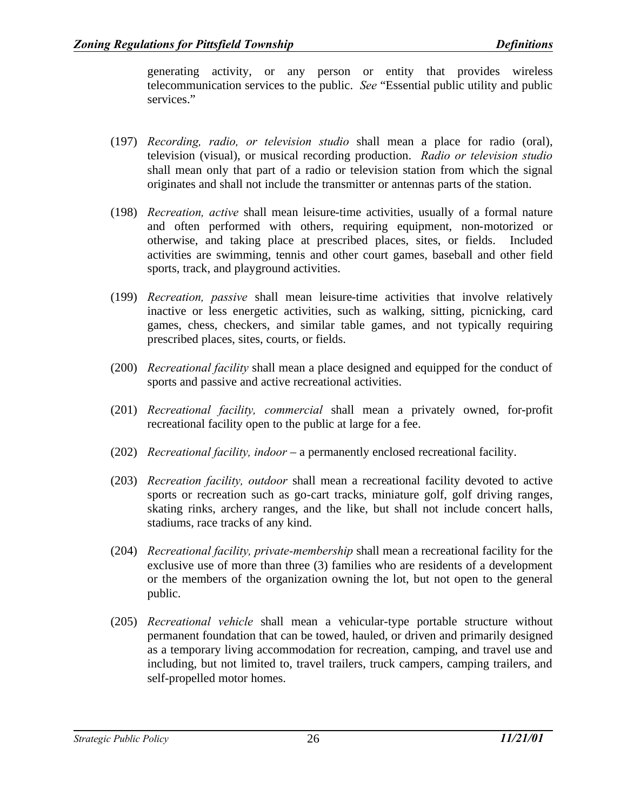generating activity, or any person or entity that provides wireless telecommunication services to the public. *See* "Essential public utility and public services."

- (197) *Recording, radio, or television studio* shall mean a place for radio (oral), television (visual), or musical recording production. *Radio or television studio* shall mean only that part of a radio or television station from which the signal originates and shall not include the transmitter or antennas parts of the station.
- (198) *Recreation, active* shall mean leisure-time activities, usually of a formal nature and often performed with others, requiring equipment, non-motorized or otherwise, and taking place at prescribed places, sites, or fields. Included activities are swimming, tennis and other court games, baseball and other field sports, track, and playground activities.
- (199) *Recreation, passive* shall mean leisure-time activities that involve relatively inactive or less energetic activities, such as walking, sitting, picnicking, card games, chess, checkers, and similar table games, and not typically requiring prescribed places, sites, courts, or fields.
- (200) *Recreational facility* shall mean a place designed and equipped for the conduct of sports and passive and active recreational activities.
- (201) *Recreational facility, commercial* shall mean a privately owned, for-profit recreational facility open to the public at large for a fee.
- (202) *Recreational facility, indoor* a permanently enclosed recreational facility.
- (203) *Recreation facility, outdoor* shall mean a recreational facility devoted to active sports or recreation such as go-cart tracks, miniature golf, golf driving ranges, skating rinks, archery ranges, and the like, but shall not include concert halls, stadiums, race tracks of any kind.
- (204) *Recreational facility, private-membership* shall mean a recreational facility for the exclusive use of more than three (3) families who are residents of a development or the members of the organization owning the lot, but not open to the general public.
- (205) *Recreational vehicle* shall mean a vehicular-type portable structure without permanent foundation that can be towed, hauled, or driven and primarily designed as a temporary living accommodation for recreation, camping, and travel use and including, but not limited to, travel trailers, truck campers, camping trailers, and self-propelled motor homes.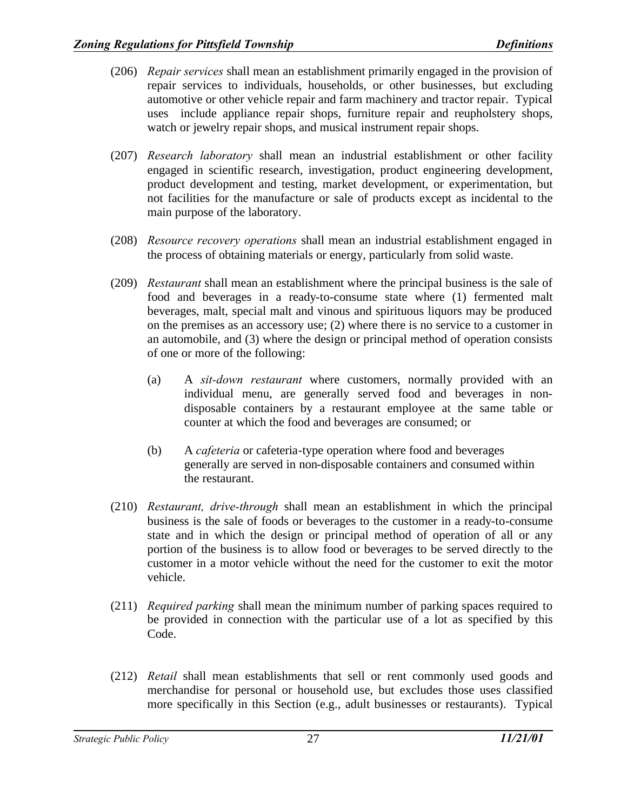- (206) *Repair services* shall mean an establishment primarily engaged in the provision of repair services to individuals, households, or other businesses, but excluding automotive or other vehicle repair and farm machinery and tractor repair. Typical uses include appliance repair shops, furniture repair and reupholstery shops, watch or jewelry repair shops, and musical instrument repair shops.
- (207) *Research laboratory* shall mean an industrial establishment or other facility engaged in scientific research, investigation, product engineering development, product development and testing, market development, or experimentation, but not facilities for the manufacture or sale of products except as incidental to the main purpose of the laboratory.
- (208) *Resource recovery operations* shall mean an industrial establishment engaged in the process of obtaining materials or energy, particularly from solid waste.
- (209) *Restaurant* shall mean an establishment where the principal business is the sale of food and beverages in a ready-to-consume state where (1) fermented malt beverages, malt, special malt and vinous and spirituous liquors may be produced on the premises as an accessory use; (2) where there is no service to a customer in an automobile, and (3) where the design or principal method of operation consists of one or more of the following:
	- (a) A *sit-down restaurant* where customers, normally provided with an individual menu, are generally served food and beverages in nondisposable containers by a restaurant employee at the same table or counter at which the food and beverages are consumed; or
	- (b) A *cafeteria* or cafeteria-type operation where food and beverages generally are served in non-disposable containers and consumed within the restaurant.
- (210) *Restaurant, drive-through* shall mean an establishment in which the principal business is the sale of foods or beverages to the customer in a ready-to-consume state and in which the design or principal method of operation of all or any portion of the business is to allow food or beverages to be served directly to the customer in a motor vehicle without the need for the customer to exit the motor vehicle.
- (211) *Required parking* shall mean the minimum number of parking spaces required to be provided in connection with the particular use of a lot as specified by this Code.
- (212) *Retail* shall mean establishments that sell or rent commonly used goods and merchandise for personal or household use, but excludes those uses classified more specifically in this Section (e.g., adult businesses or restaurants). Typical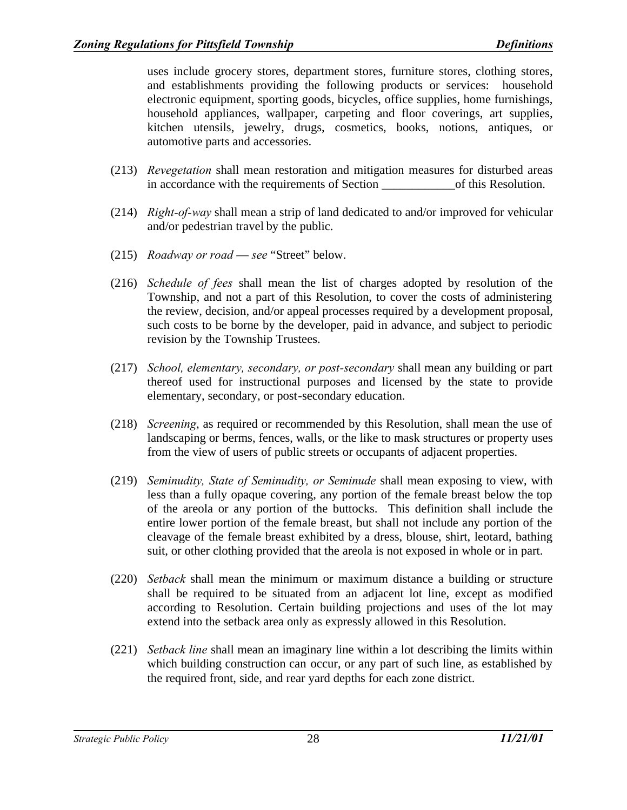uses include grocery stores, department stores, furniture stores, clothing stores, and establishments providing the following products or services: household electronic equipment, sporting goods, bicycles, office supplies, home furnishings, household appliances, wallpaper, carpeting and floor coverings, art supplies, kitchen utensils, jewelry, drugs, cosmetics, books, notions, antiques, or automotive parts and accessories.

- (213) *Revegetation* shall mean restoration and mitigation measures for disturbed areas in accordance with the requirements of Section \_\_\_\_\_\_\_\_\_\_\_\_of this Resolution.
- (214) *Right-of-way* shall mean a strip of land dedicated to and/or improved for vehicular and/or pedestrian travel by the public.
- (215) *Roadway or road see* "Street" below.
- (216) *Schedule of fees* shall mean the list of charges adopted by resolution of the Township, and not a part of this Resolution, to cover the costs of administering the review, decision, and/or appeal processes required by a development proposal, such costs to be borne by the developer, paid in advance, and subject to periodic revision by the Township Trustees.
- (217) *School, elementary, secondary, or post-secondary* shall mean any building or part thereof used for instructional purposes and licensed by the state to provide elementary, secondary, or post-secondary education.
- (218) *Screening*, as required or recommended by this Resolution, shall mean the use of landscaping or berms, fences, walls, or the like to mask structures or property uses from the view of users of public streets or occupants of adjacent properties.
- (219) *Seminudity, State of Seminudity, or Seminude* shall mean exposing to view, with less than a fully opaque covering, any portion of the female breast below the top of the areola or any portion of the buttocks. This definition shall include the entire lower portion of the female breast, but shall not include any portion of the cleavage of the female breast exhibited by a dress, blouse, shirt, leotard, bathing suit, or other clothing provided that the areola is not exposed in whole or in part.
- (220) *Setback* shall mean the minimum or maximum distance a building or structure shall be required to be situated from an adjacent lot line, except as modified according to Resolution. Certain building projections and uses of the lot may extend into the setback area only as expressly allowed in this Resolution.
- (221) *Setback line* shall mean an imaginary line within a lot describing the limits within which building construction can occur, or any part of such line, as established by the required front, side, and rear yard depths for each zone district.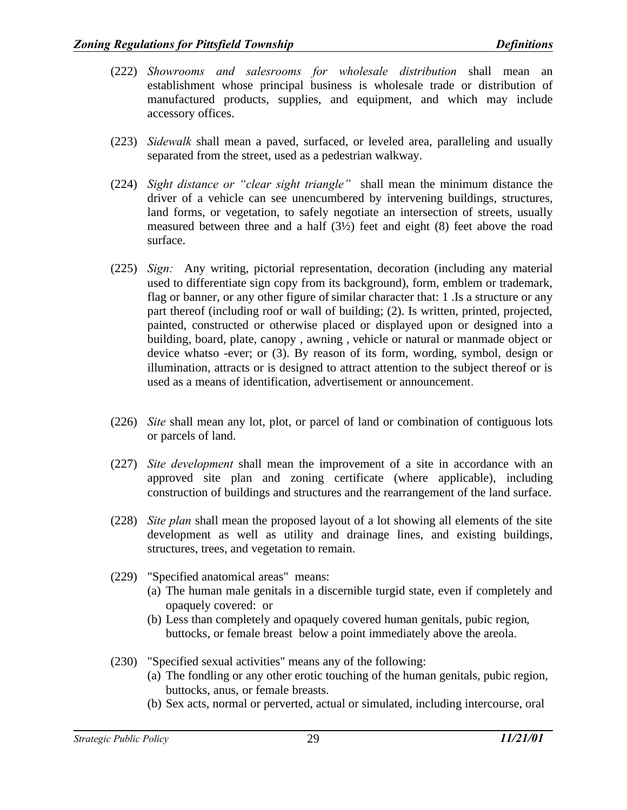- (222) *Showrooms and salesrooms for wholesale distribution* shall mean an establishment whose principal business is wholesale trade or distribution of manufactured products, supplies, and equipment, and which may include accessory offices.
- (223) *Sidewalk* shall mean a paved, surfaced, or leveled area, paralleling and usually separated from the street, used as a pedestrian walkway.
- (224) *Sight distance or "clear sight triangle"* shall mean the minimum distance the driver of a vehicle can see unencumbered by intervening buildings, structures, land forms, or vegetation, to safely negotiate an intersection of streets, usually measured between three and a half (3½) feet and eight (8) feet above the road surface.
- (225) *Sign:* Any writing, pictorial representation, decoration (including any material used to differentiate sign copy from its background), form, emblem or trademark, flag or banner, or any other figure of similar character that: 1 .Is a structure or any part thereof (including roof or wall of building; (2). Is written, printed, projected, painted, constructed or otherwise placed or displayed upon or designed into a building, board, plate, canopy , awning , vehicle or natural or manmade object or device whatso -ever; or (3). By reason of its form, wording, symbol, design or illumination, attracts or is designed to attract attention to the subject thereof or is used as a means of identification, advertisement or announcement.
- (226) *Site* shall mean any lot, plot, or parcel of land or combination of contiguous lots or parcels of land.
- (227) *Site development* shall mean the improvement of a site in accordance with an approved site plan and zoning certificate (where applicable), including construction of buildings and structures and the rearrangement of the land surface.
- (228) *Site plan* shall mean the proposed layout of a lot showing all elements of the site development as well as utility and drainage lines, and existing buildings, structures, trees, and vegetation to remain.
- (229) "Specified anatomical areas" means:
	- (a) The human male genitals in a discernible turgid state, even if completely and opaquely covered: or
	- (b) Less than completely and opaquely covered human genitals, pubic region, buttocks, or female breast below a point immediately above the areola.
- (230) "Specified sexual activities" means any of the following:
	- (a) The fondling or any other erotic touching of the human genitals, pubic region, buttocks, anus, or female breasts.
	- (b) Sex acts, normal or perverted, actual or simulated, including intercourse, oral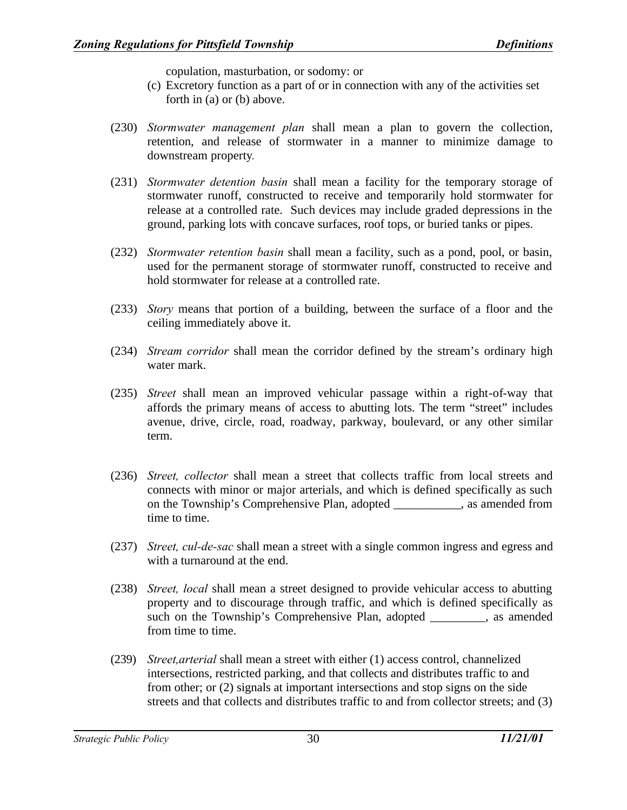copulation, masturbation, or sodomy: or

- (c) Excretory function as a part of or in connection with any of the activities set forth in (a) or (b) above.
- (230) *Stormwater management plan* shall mean a plan to govern the collection, retention, and release of stormwater in a manner to minimize damage to downstream property.
- (231) *Stormwater detention basin* shall mean a facility for the temporary storage of stormwater runoff, constructed to receive and temporarily hold stormwater for release at a controlled rate. Such devices may include graded depressions in the ground, parking lots with concave surfaces, roof tops, or buried tanks or pipes.
- (232) *Stormwater retention basin* shall mean a facility, such as a pond, pool, or basin, used for the permanent storage of stormwater runoff, constructed to receive and hold stormwater for release at a controlled rate.
- (233) *Story* means that portion of a building, between the surface of a floor and the ceiling immediately above it.
- (234) *Stream corridor* shall mean the corridor defined by the stream's ordinary high water mark.
- (235) *Street* shall mean an improved vehicular passage within a right-of-way that affords the primary means of access to abutting lots. The term "street" includes avenue, drive, circle, road, roadway, parkway, boulevard, or any other similar term.
- (236) *Street, collector* shall mean a street that collects traffic from local streets and connects with minor or major arterials, and which is defined specifically as such on the Township's Comprehensive Plan, adopted \_\_\_\_\_\_\_\_\_\_, as amended from time to time.
- (237) *Street, cul-de-sac* shall mean a street with a single common ingress and egress and with a turnaround at the end.
- (238) *Street, local* shall mean a street designed to provide vehicular access to abutting property and to discourage through traffic, and which is defined specifically as such on the Township's Comprehensive Plan, adopted \_\_\_\_\_\_\_\_\_, as amended from time to time.
- (239) *Street,arterial* shall mean a street with either (1) access control, channelized intersections, restricted parking, and that collects and distributes traffic to and from other; or (2) signals at important intersections and stop signs on the side streets and that collects and distributes traffic to and from collector streets; and (3)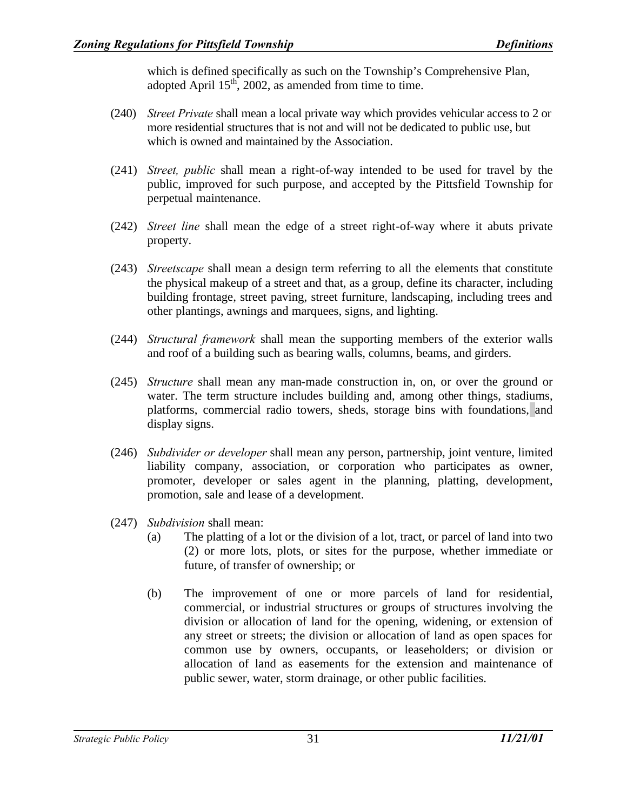which is defined specifically as such on the Township's Comprehensive Plan, adopted April  $15<sup>th</sup>$ , 2002, as amended from time to time.

- (240) *Street Private* shall mean a local private way which provides vehicular access to 2 or more residential structures that is not and will not be dedicated to public use, but which is owned and maintained by the Association.
- (241) *Street, public* shall mean a right-of-way intended to be used for travel by the public, improved for such purpose, and accepted by the Pittsfield Township for perpetual maintenance.
- (242) *Street line* shall mean the edge of a street right-of-way where it abuts private property.
- (243) *Streetscape* shall mean a design term referring to all the elements that constitute the physical makeup of a street and that, as a group, define its character, including building frontage, street paving, street furniture, landscaping, including trees and other plantings, awnings and marquees, signs, and lighting.
- (244) *Structural framework* shall mean the supporting members of the exterior walls and roof of a building such as bearing walls, columns, beams, and girders.
- (245) *Structure* shall mean any man-made construction in, on, or over the ground or water. The term structure includes building and, among other things, stadiums, platforms, commercial radio towers, sheds, storage bins with foundations, and display signs.
- (246) *Subdivider or developer* shall mean any person, partnership, joint venture, limited liability company, association, or corporation who participates as owner, promoter, developer or sales agent in the planning, platting, development, promotion, sale and lease of a development.
- (247) *Subdivision* shall mean:
	- (a) The platting of a lot or the division of a lot, tract, or parcel of land into two (2) or more lots, plots, or sites for the purpose, whether immediate or future, of transfer of ownership; or
	- (b) The improvement of one or more parcels of land for residential, commercial, or industrial structures or groups of structures involving the division or allocation of land for the opening, widening, or extension of any street or streets; the division or allocation of land as open spaces for common use by owners, occupants, or leaseholders; or division or allocation of land as easements for the extension and maintenance of public sewer, water, storm drainage, or other public facilities.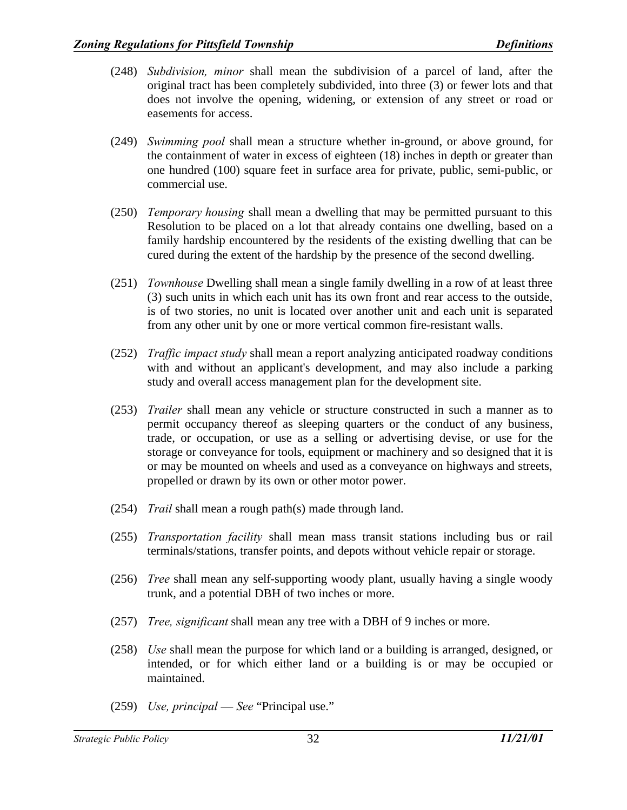- (248) *Subdivision, minor* shall mean the subdivision of a parcel of land, after the original tract has been completely subdivided, into three (3) or fewer lots and that does not involve the opening, widening, or extension of any street or road or easements for access.
- (249) *Swimming pool* shall mean a structure whether in-ground, or above ground, for the containment of water in excess of eighteen (18) inches in depth or greater than one hundred (100) square feet in surface area for private, public, semi-public, or commercial use.
- (250) *Temporary housing* shall mean a dwelling that may be permitted pursuant to this Resolution to be placed on a lot that already contains one dwelling, based on a family hardship encountered by the residents of the existing dwelling that can be cured during the extent of the hardship by the presence of the second dwelling.
- (251) *Townhouse* Dwelling shall mean a single family dwelling in a row of at least three (3) such units in which each unit has its own front and rear access to the outside, is of two stories, no unit is located over another unit and each unit is separated from any other unit by one or more vertical common fire-resistant walls.
- (252) *Traffic impact study* shall mean a report analyzing anticipated roadway conditions with and without an applicant's development, and may also include a parking study and overall access management plan for the development site.
- (253) *Trailer* shall mean any vehicle or structure constructed in such a manner as to permit occupancy thereof as sleeping quarters or the conduct of any business, trade, or occupation, or use as a selling or advertising devise, or use for the storage or conveyance for tools, equipment or machinery and so designed that it is or may be mounted on wheels and used as a conveyance on highways and streets, propelled or drawn by its own or other motor power.
- (254) *Trail* shall mean a rough path(s) made through land.
- (255) *Transportation facility* shall mean mass transit stations including bus or rail terminals/stations, transfer points, and depots without vehicle repair or storage.
- (256) *Tree* shall mean any self-supporting woody plant, usually having a single woody trunk, and a potential DBH of two inches or more.
- (257) *Tree, significant* shall mean any tree with a DBH of 9 inches or more.
- (258) *Use* shall mean the purpose for which land or a building is arranged, designed, or intended, or for which either land or a building is or may be occupied or maintained.
- (259) *Use, principal See* "Principal use."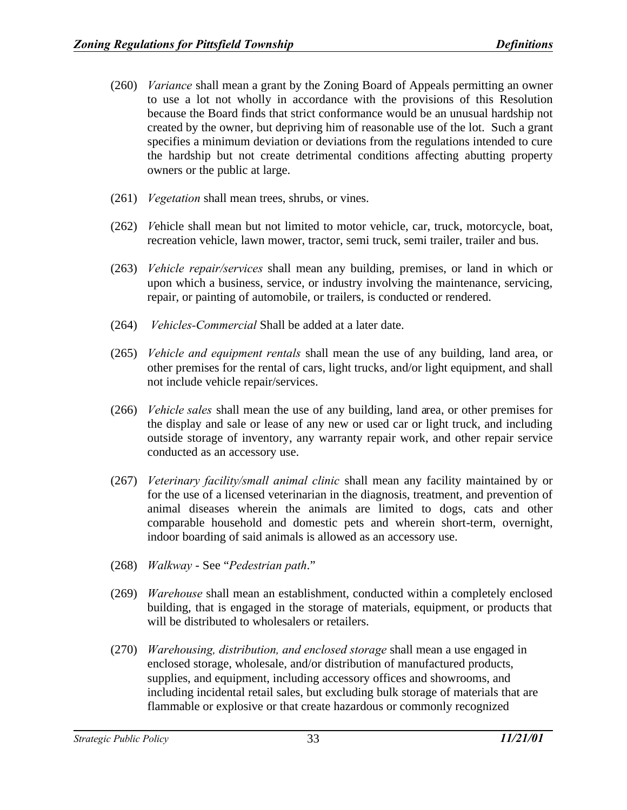- (260) *Variance* shall mean a grant by the Zoning Board of Appeals permitting an owner to use a lot not wholly in accordance with the provisions of this Resolution because the Board finds that strict conformance would be an unusual hardship not created by the owner, but depriving him of reasonable use of the lot. Such a grant specifies a minimum deviation or deviations from the regulations intended to cure the hardship but not create detrimental conditions affecting abutting property owners or the public at large.
- (261) *Vegetation* shall mean trees, shrubs, or vines.
- (262) *V*ehicle shall mean but not limited to motor vehicle, car, truck, motorcycle, boat, recreation vehicle, lawn mower, tractor, semi truck, semi trailer, trailer and bus.
- (263) *Vehicle repair/services* shall mean any building, premises, or land in which or upon which a business, service, or industry involving the maintenance, servicing, repair, or painting of automobile, or trailers, is conducted or rendered.
- (264) *Vehicles-Commercial* Shall be added at a later date.
- (265) *Vehicle and equipment rentals* shall mean the use of any building, land area, or other premises for the rental of cars, light trucks, and/or light equipment, and shall not include vehicle repair/services.
- (266) *Vehicle sales* shall mean the use of any building, land area, or other premises for the display and sale or lease of any new or used car or light truck, and including outside storage of inventory, any warranty repair work, and other repair service conducted as an accessory use.
- (267) *Veterinary facility/small animal clinic* shall mean any facility maintained by or for the use of a licensed veterinarian in the diagnosis, treatment, and prevention of animal diseases wherein the animals are limited to dogs, cats and other comparable household and domestic pets and wherein short-term, overnight, indoor boarding of said animals is allowed as an accessory use.
- (268) *Walkway*  See "*Pedestrian path*."
- (269) *Warehouse* shall mean an establishment, conducted within a completely enclosed building, that is engaged in the storage of materials, equipment, or products that will be distributed to wholesalers or retailers.
- (270) *Warehousing, distribution, and enclosed storage* shall mean a use engaged in enclosed storage, wholesale, and/or distribution of manufactured products, supplies, and equipment, including accessory offices and showrooms, and including incidental retail sales, but excluding bulk storage of materials that are flammable or explosive or that create hazardous or commonly recognized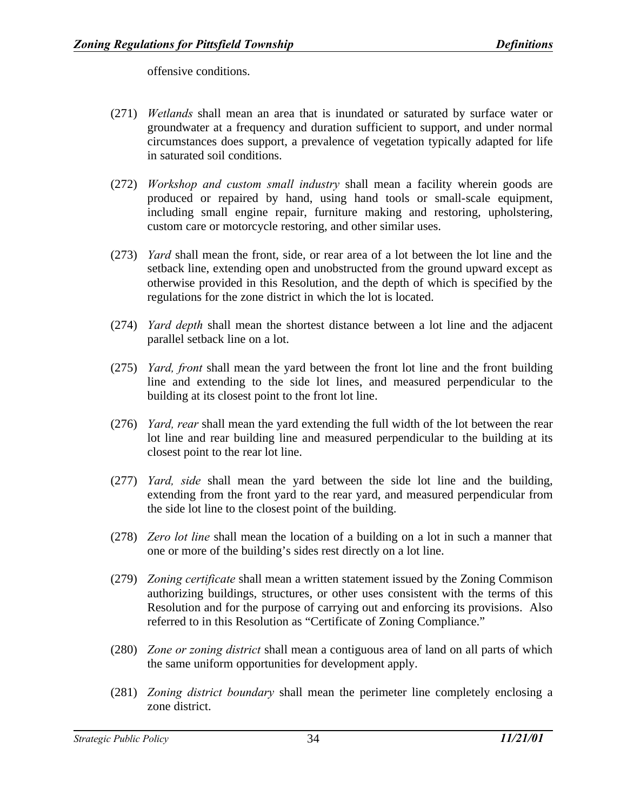offensive conditions.

- (271) *Wetlands* shall mean an area that is inundated or saturated by surface water or groundwater at a frequency and duration sufficient to support, and under normal circumstances does support, a prevalence of vegetation typically adapted for life in saturated soil conditions.
- (272) *Workshop and custom small industry* shall mean a facility wherein goods are produced or repaired by hand, using hand tools or small-scale equipment, including small engine repair, furniture making and restoring, upholstering, custom care or motorcycle restoring, and other similar uses.
- (273) *Yard* shall mean the front, side, or rear area of a lot between the lot line and the setback line, extending open and unobstructed from the ground upward except as otherwise provided in this Resolution, and the depth of which is specified by the regulations for the zone district in which the lot is located.
- (274) *Yard depth* shall mean the shortest distance between a lot line and the adjacent parallel setback line on a lot.
- (275) *Yard, front* shall mean the yard between the front lot line and the front building line and extending to the side lot lines, and measured perpendicular to the building at its closest point to the front lot line.
- (276) *Yard, rear* shall mean the yard extending the full width of the lot between the rear lot line and rear building line and measured perpendicular to the building at its closest point to the rear lot line.
- (277) *Yard, side* shall mean the yard between the side lot line and the building, extending from the front yard to the rear yard, and measured perpendicular from the side lot line to the closest point of the building.
- (278) *Zero lot line* shall mean the location of a building on a lot in such a manner that one or more of the building's sides rest directly on a lot line.
- (279) *Zoning certificate* shall mean a written statement issued by the Zoning Commison authorizing buildings, structures, or other uses consistent with the terms of this Resolution and for the purpose of carrying out and enforcing its provisions. Also referred to in this Resolution as "Certificate of Zoning Compliance."
- (280) *Zone or zoning district* shall mean a contiguous area of land on all parts of which the same uniform opportunities for development apply.
- (281) *Zoning district boundary* shall mean the perimeter line completely enclosing a zone district.